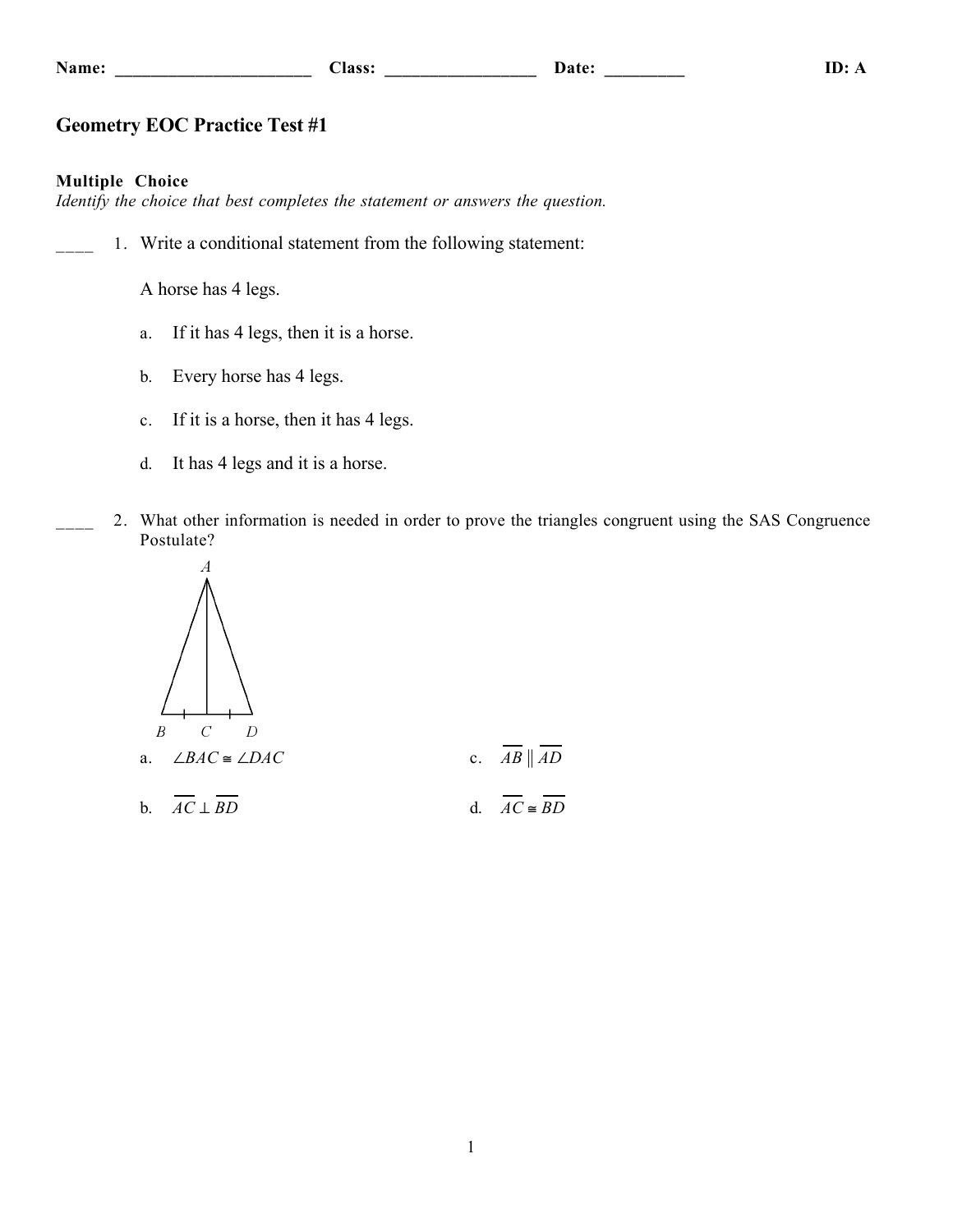| Π<br>и<br>. .<br>٦<br>۰. |  |
|--------------------------|--|
|--------------------------|--|

## **Geometry EOC Practice Test #1**

#### **Multiple Choice**

*Identify the choice that best completes the statement or answers the question.*

1. Write a conditional statement from the following statement:

A horse has 4 legs.

- a. If it has 4 legs, then it is a horse.
- b. Every horse has 4 legs.
- c. If it is a horse, then it has 4 legs.
- d. It has 4 legs and it is a horse.
- 2. What other information is needed in order to prove the triangles congruent using the SAS Congruence Postulate?



1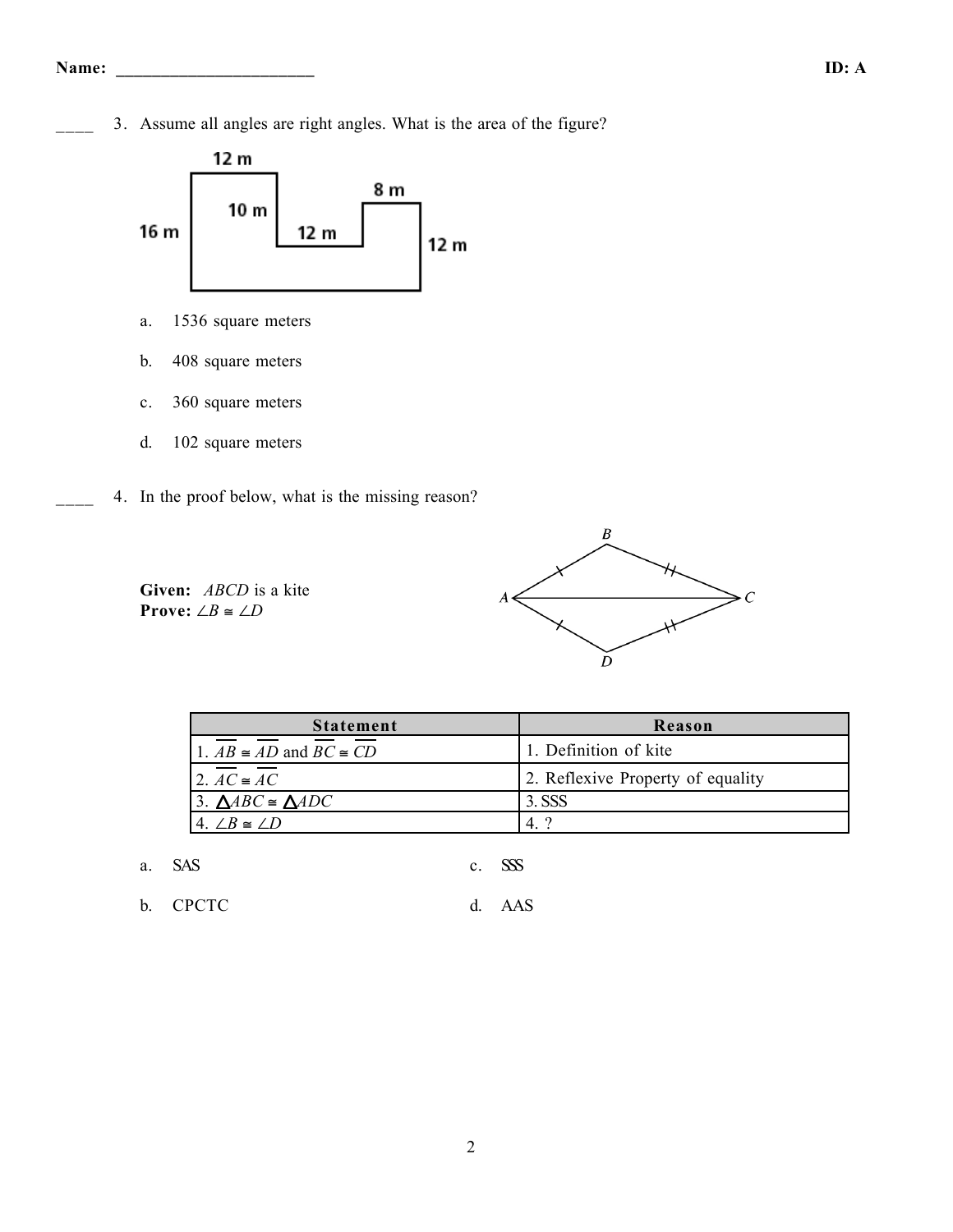3. Assume all angles are right angles. What is the area of the figure?



- a. 1536 square meters
- b. 408 square meters
- c. 360 square meters
- d. 102 square meters
- 4. In the proof below, what is the missing reason?

**Given:** *ABCD* is a kite **Prove:** ∠*B*  $\cong$  ∠*D* 



| <b>Statement</b>                       | Reason                            |
|----------------------------------------|-----------------------------------|
| 1. $AB \cong AD$ and $BC \cong CD$     | 1. Definition of kite             |
| 2. $AC \cong AC$                       | 2. Reflexive Property of equality |
| 3. $\triangle ABC \cong \triangle ADC$ | 3. SSS                            |
| $4 / B \cong / D$                      | റ                                 |

| a. SAS |  | c. SSS |
|--------|--|--------|
|--------|--|--------|

b. CPCTC d. AAS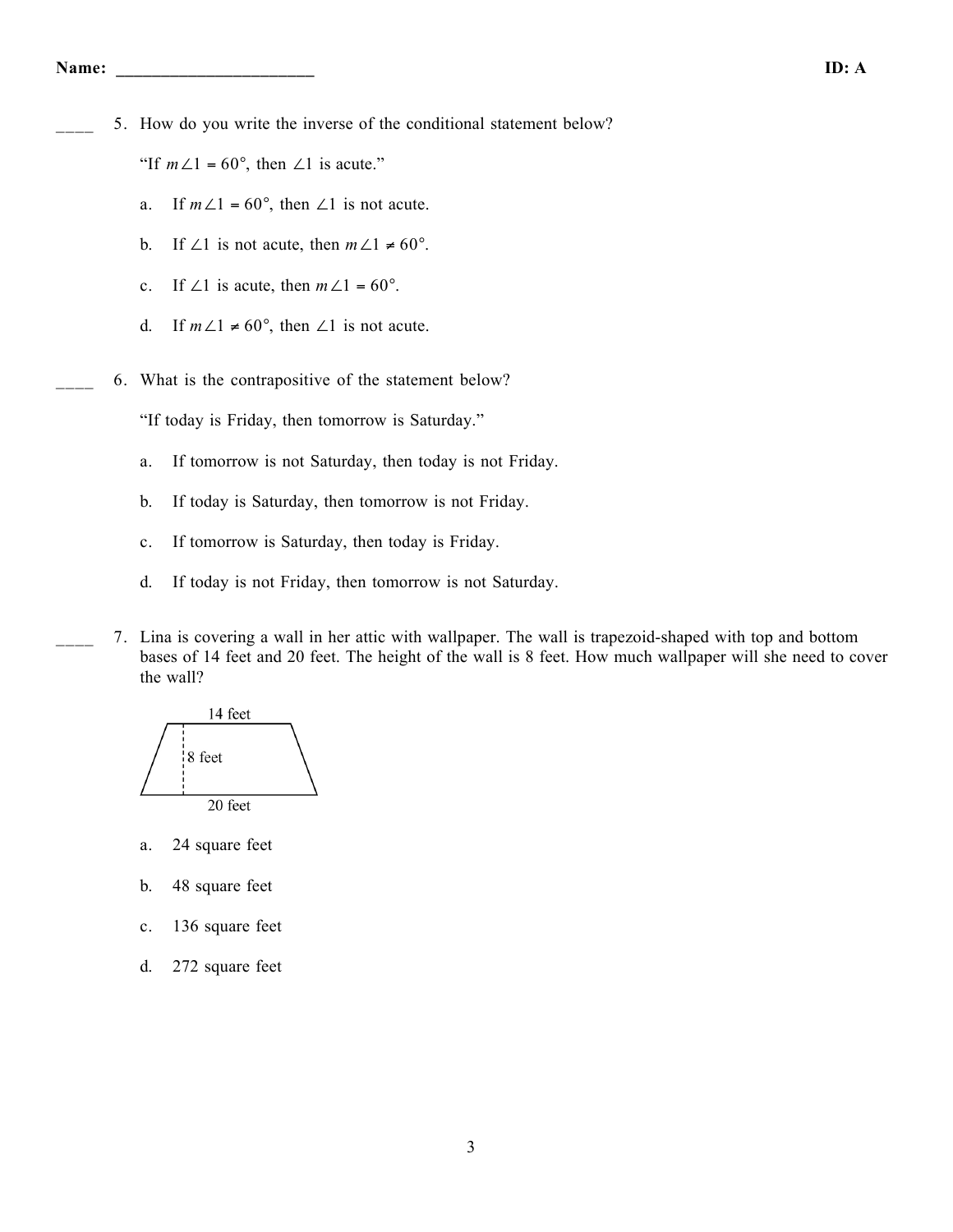5. How do you write the inverse of the conditional statement below?

"If  $m\angle 1 = 60^\circ$ , then  $\angle 1$  is acute."

- a. If  $m\angle 1 = 60^\circ$ , then  $\angle 1$  is not acute.
- b. If ∠1 is not acute, then  $m\angle 1 \neq 60^\circ$ .
- c. If ∠1 is acute, then  $m\angle 1 = 60^\circ$ .
- d. If  $m\angle 1 \neq 60^{\circ}$ , then  $\angle 1$  is not acute.
- \_\_\_\_ 6. What is the contrapositive of the statement below?

"If today is Friday, then tomorrow is Saturday."

- a. If tomorrow is not Saturday, then today is not Friday.
- b. If today is Saturday, then tomorrow is not Friday.
- c. If tomorrow is Saturday, then today is Friday.
- d. If today is not Friday, then tomorrow is not Saturday.
- \_\_\_\_ 7. Lina is covering a wall in her attic with wallpaper. The wall is trapezoid-shaped with top and bottom bases of 14 feet and 20 feet. The height of the wall is 8 feet. How much wallpaper will she need to cover the wall?



- a. 24 square feet
- b. 48 square feet
- c. 136 square feet
- d. 272 square feet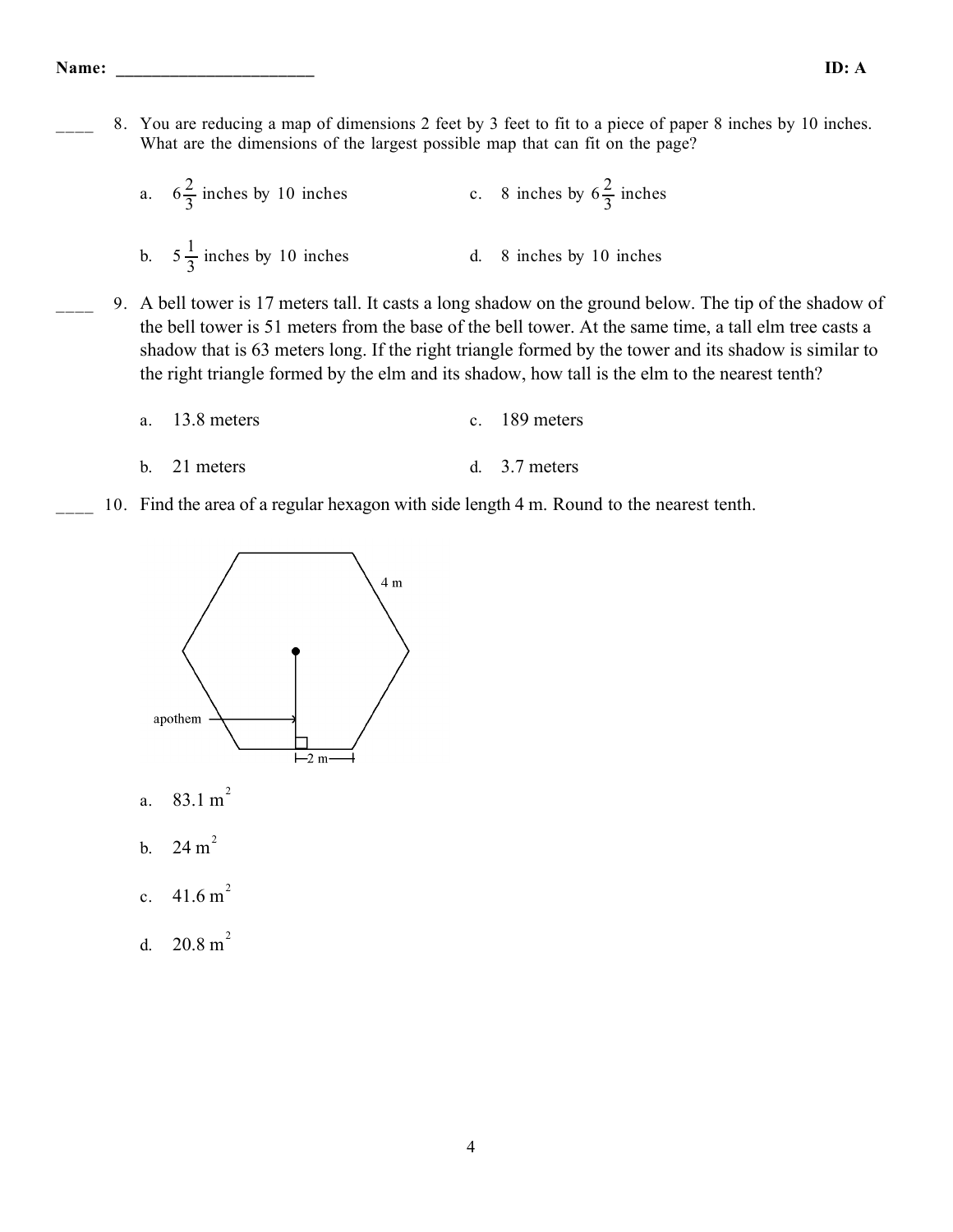8. You are reducing a map of dimensions 2 feet by 3 feet to fit to a piece of paper 8 inches by 10 inches. What are the dimensions of the largest possible map that can fit on the page?

| a. $6\frac{2}{3}$ inches by 10 inches | c. 8 inches by $6\frac{2}{3}$ inches |
|---------------------------------------|--------------------------------------|
| b. $5\frac{1}{3}$ inches by 10 inches | d. 8 inches by 10 inches             |

\_\_\_\_ 9. A bell tower is 17 meters tall. It casts a long shadow on the ground below. The tip of the shadow of the bell tower is 51 meters from the base of the bell tower. At the same time, a tall elm tree casts a shadow that is 63 meters long. If the right triangle formed by the tower and its shadow is similar to the right triangle formed by the elm and its shadow, how tall is the elm to the nearest tenth?

| a. $13.8$ meters | c. $189$ meters |
|------------------|-----------------|
|                  |                 |

- b. 21 meters d. 3.7 meters
- 10. Find the area of a regular hexagon with side length 4 m. Round to the nearest tenth.



- a.  $83.1 \text{ m}^2$
- b.  $24 \text{ m}^2$
- c.  $41.6 \text{ m}^2$
- d.  $20.8 m<sup>2</sup>$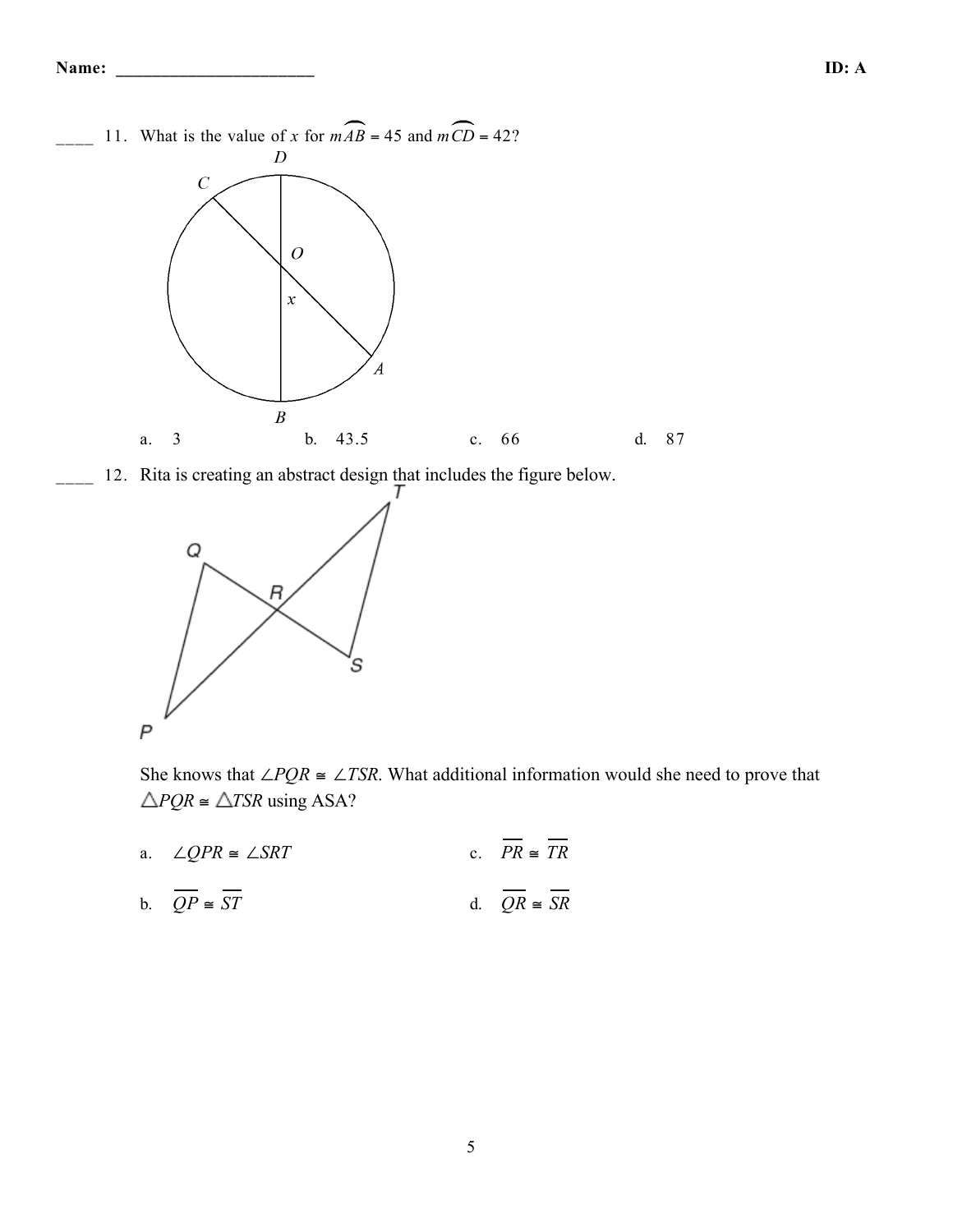

12. Rita is creating an abstract design that includes the figure below.



She knows that ∠*PQR*  $\cong$  ∠*TSR*. What additional information would she need to prove that  $\triangle PQR \cong \triangle TSR$  using ASA?

- a.  $\angle QPR \cong \angle SRT$  c.  $PR \cong \overline{TR}$
- b.  $\overline{QP} \cong \overline{ST}$  d.  $\overline{QR} \cong \overline{SR}$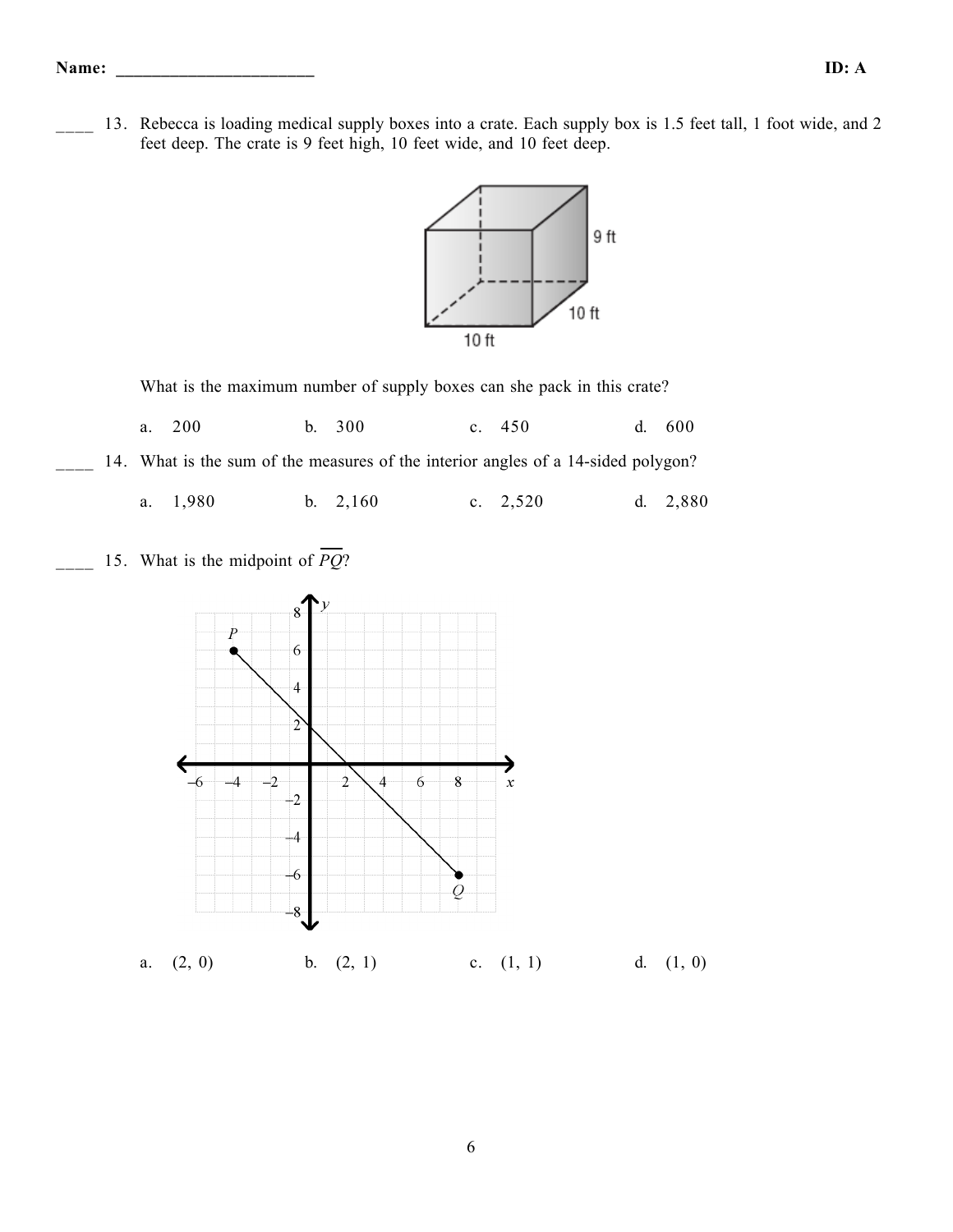13. Rebecca is loading medical supply boxes into a crate. Each supply box is 1.5 feet tall, 1 foot wide, and 2 feet deep. The crate is 9 feet high, 10 feet wide, and 10 feet deep.



What is the maximum number of supply boxes can she pack in this crate?

a. 200 b. 300 c. 450 d. 600

14. What is the sum of the measures of the interior angles of a 14-sided polygon?

a. 1,980 b. 2,160 c. 2,520 d. 2,880



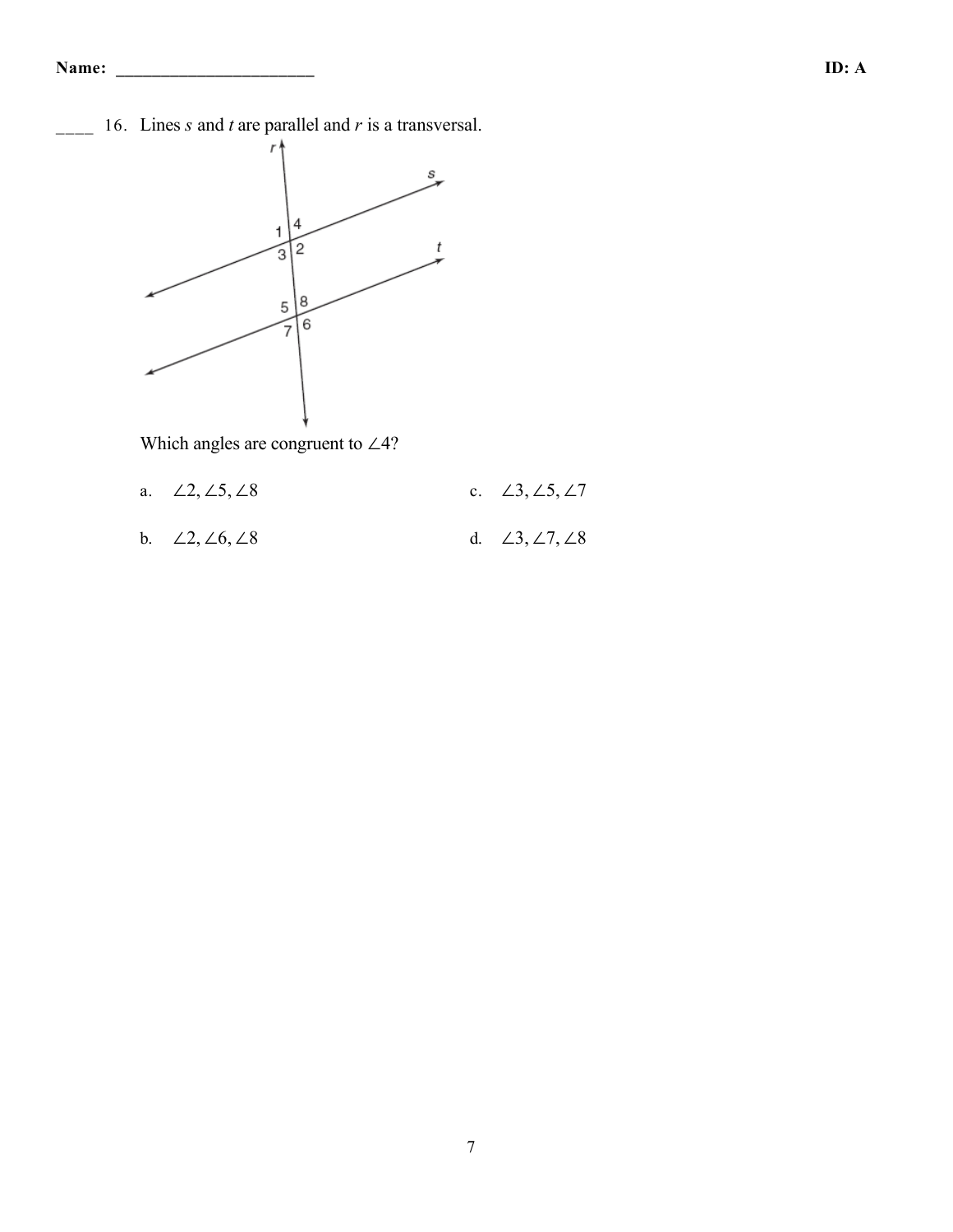\_\_\_\_ 16. Lines *s* and *t* are parallel and *r* is a transversal.



Which angles are congruent to ∠4?

- a. ∠2, ∠5, ∠8 c. ∠3, ∠5, ∠7
- b. ∠2, ∠6, ∠8 d. ∠3, ∠7, ∠8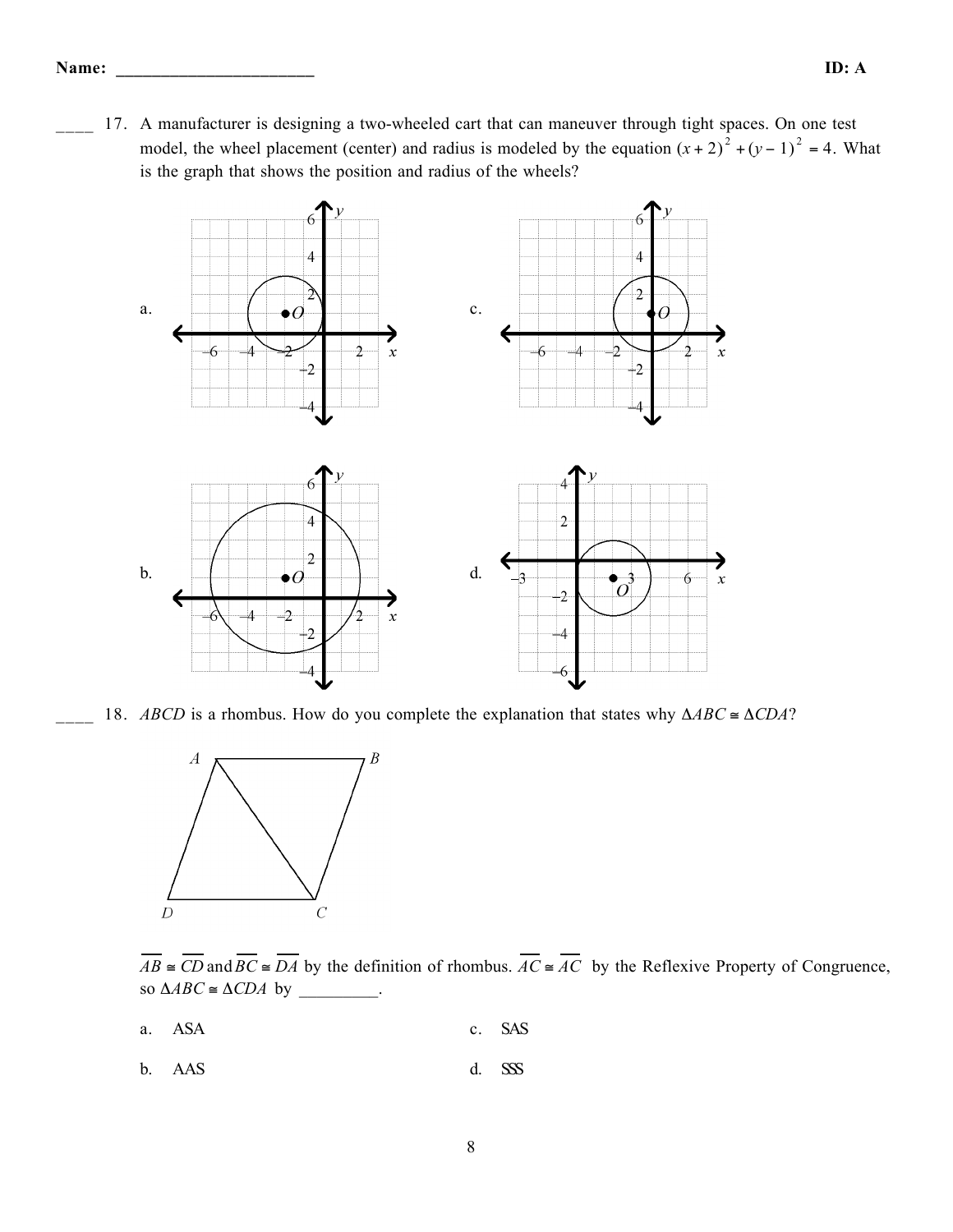17. A manufacturer is designing a two-wheeled cart that can maneuver through tight spaces. On one test model, the wheel placement (center) and radius is modeled by the equation  $(x + 2)^2 + (y - 1)^2 = 4$ . What is the graph that shows the position and radius of the wheels?



18. *ABCD* is a rhombus. How do you complete the explanation that states why  $\triangle ABC \cong \triangle CDA$ ?



 $\overline{AB} \cong \overline{CD}$  and  $\overline{BC} \cong \overline{DA}$  by the definition of rhombus.  $\overline{AC} \cong \overline{AC}$  by the Reflexive Property of Congruence, so  $\triangle ABC \cong \triangle CDA$  by \_\_\_\_\_\_\_\_\_.

- a. ASA c. SAS
- b. AAS d. SSS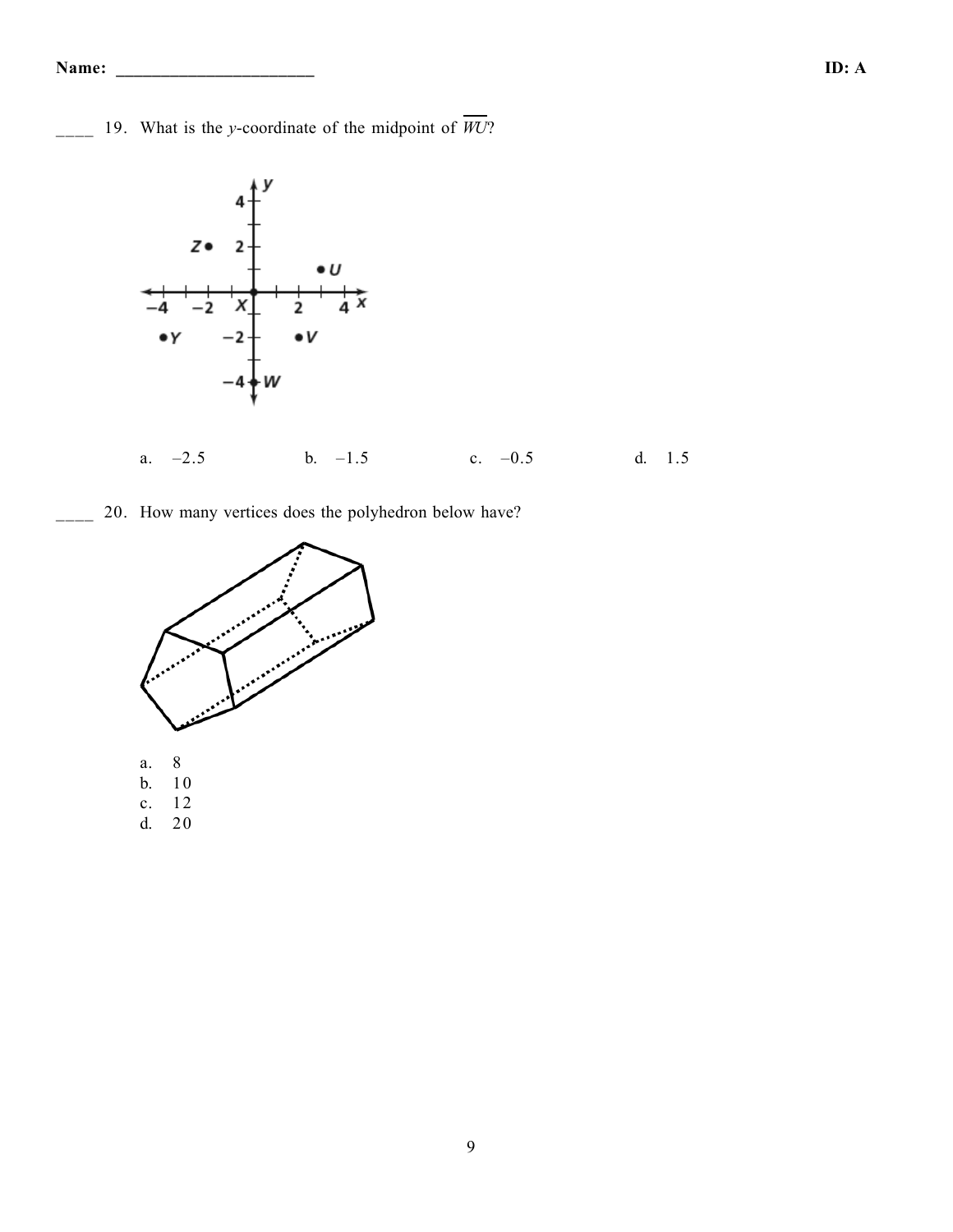#### **Name: \_\_\_\_\_\_\_\_\_\_\_\_\_\_\_\_\_\_\_\_\_\_ ID: A**

 $\frac{1}{2}$  19. What is the *y*-coordinate of the midpoint of  $\overline{WU}$ ?



### a. –2.5 b. –1.5 c. –0.5 d. 1.5

20. How many vertices does the polyhedron below have?

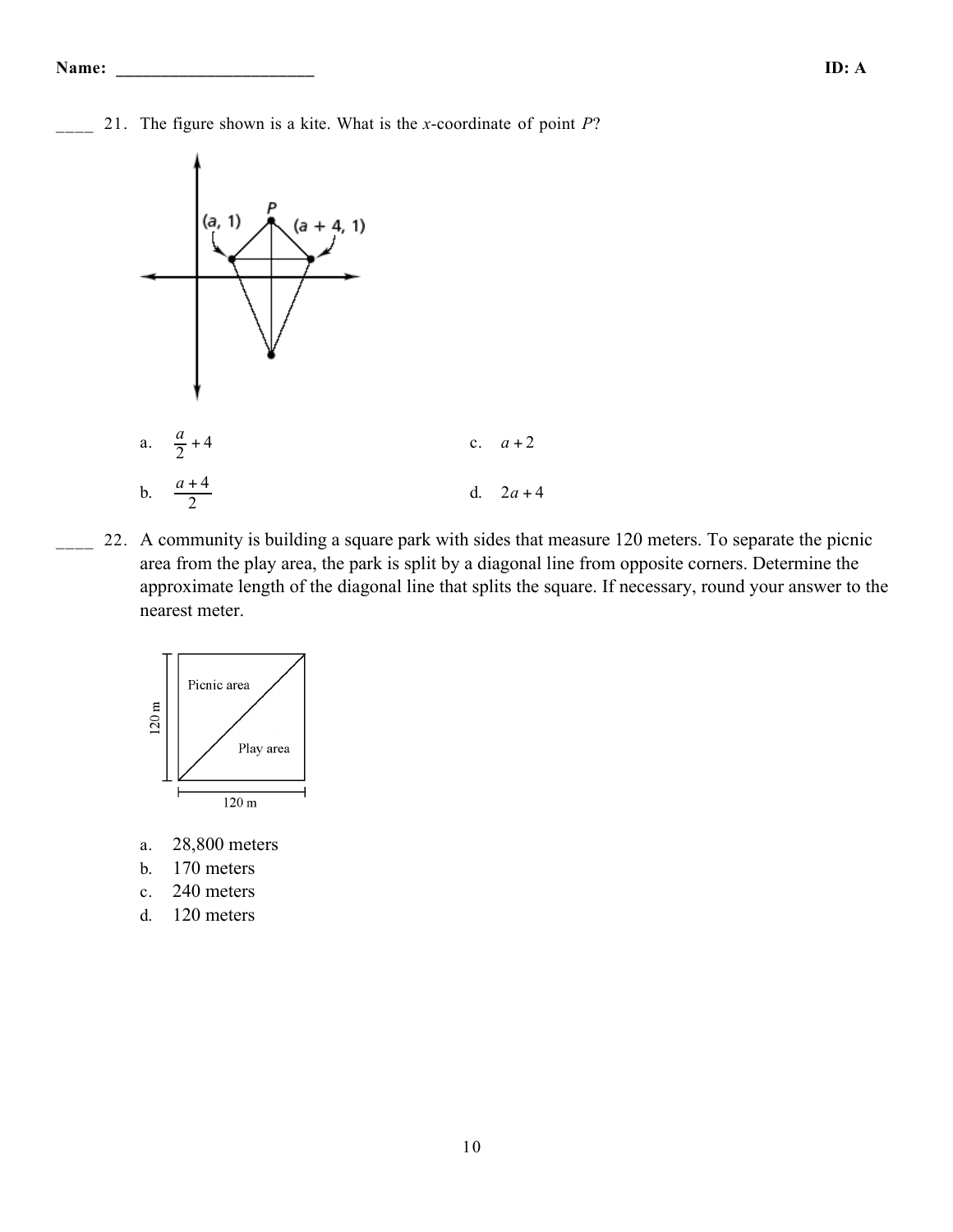\_\_\_\_ 21. The figure shown is a kite. What is the *x*-coordinate of point *P*?



22. A community is building a square park with sides that measure 120 meters. To separate the picnic area from the play area, the park is split by a diagonal line from opposite corners. Determine the approximate length of the diagonal line that splits the square. If necessary, round your answer to the nearest meter.



- a. 28,800 meters
- b. 170 meters
- c. 240 meters
- d. 120 meters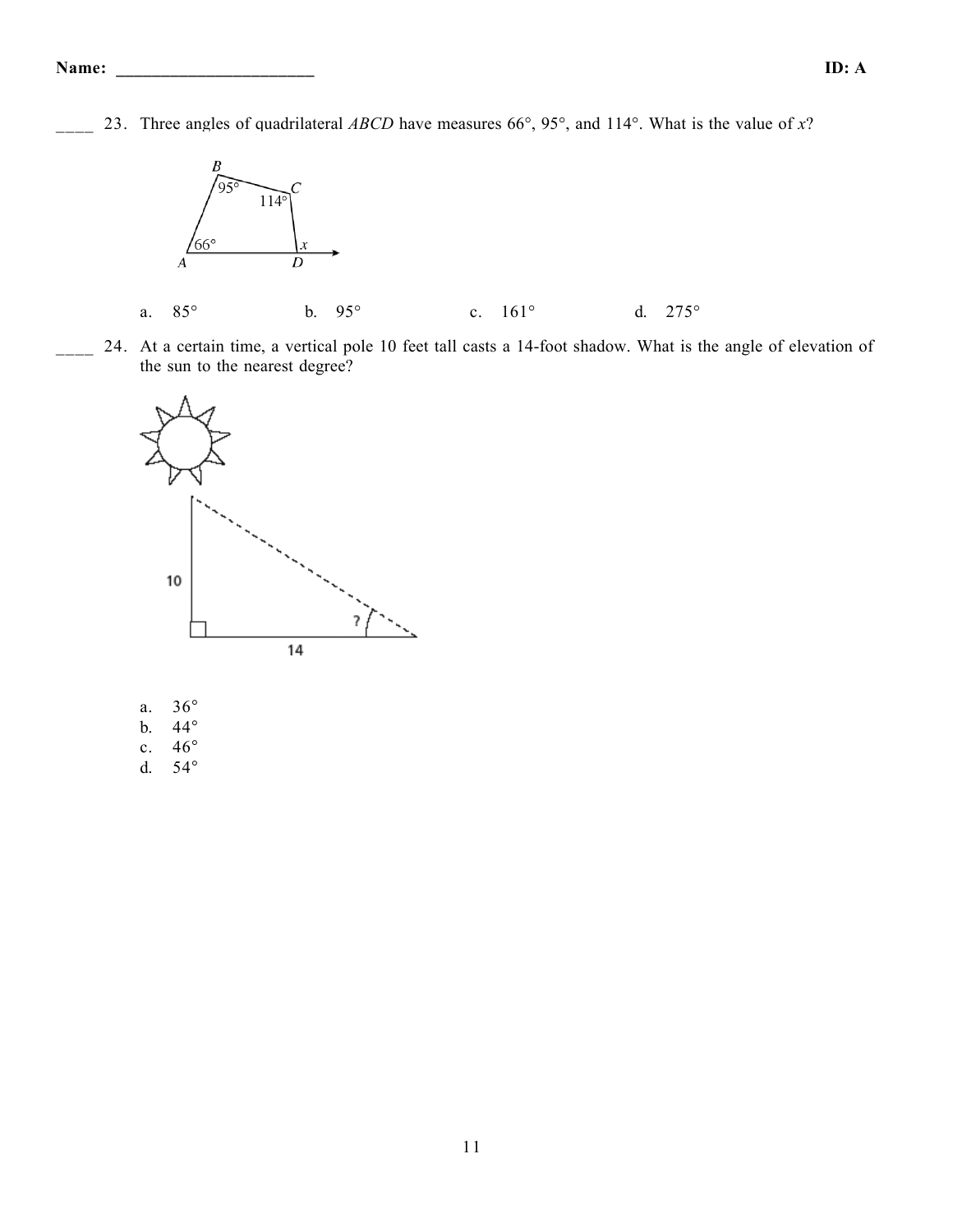\_\_\_\_ 23. Three angles of quadrilateral *ABCD* have measures 66°, 95°, and 114°. What is the value of *x*?



24. At a certain time, a vertical pole 10 feet tall casts a 14-foot shadow. What is the angle of elevation of the sun to the nearest degree?



- a. 36°
- b. 44°
- c. 46°
- d. 54°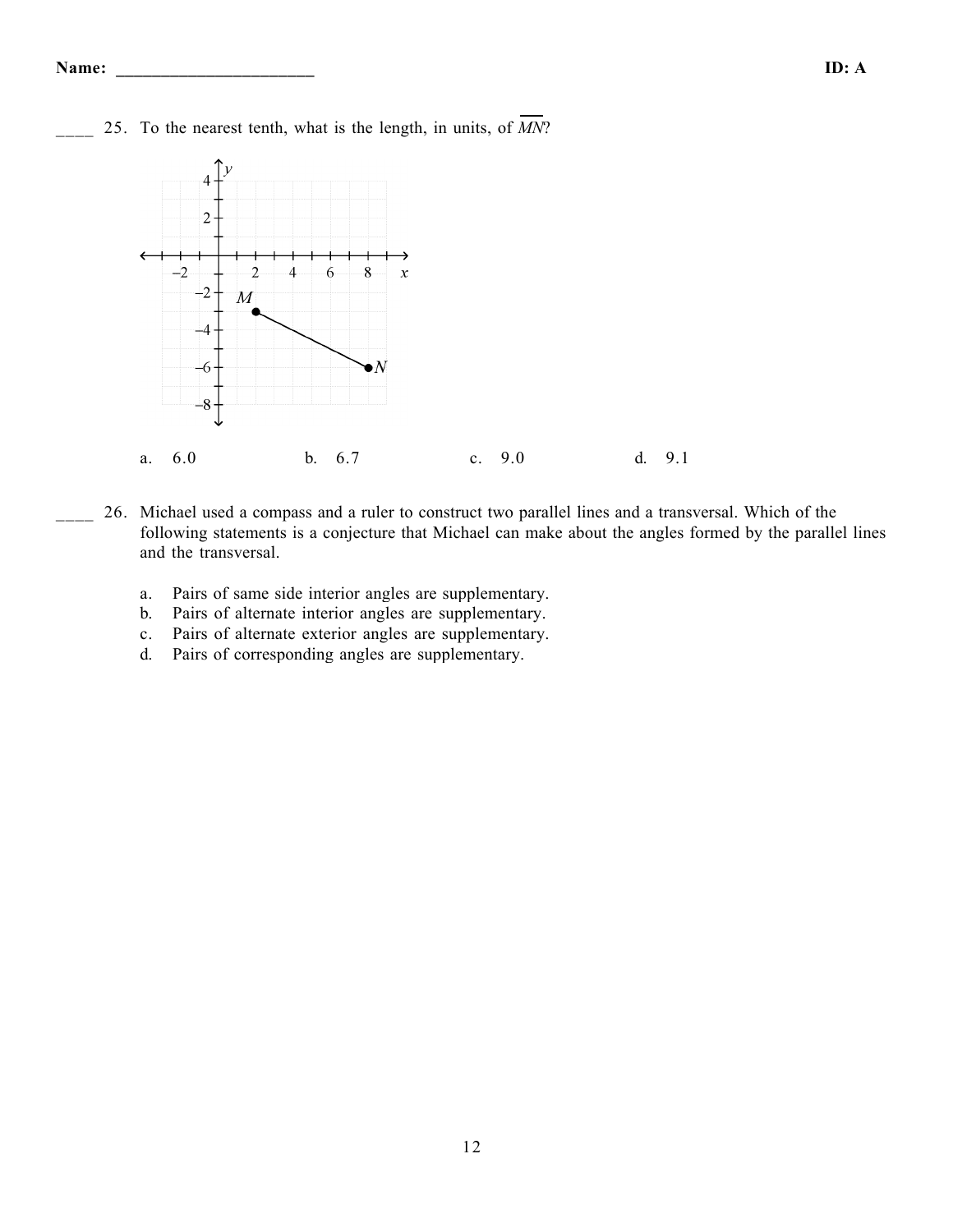

\_\_\_\_ 25. To the nearest tenth, what is the length, in units, of *MN*?

- \_\_\_\_ 26. Michael used a compass and a ruler to construct two parallel lines and a transversal. Which of the following statements is a conjecture that Michael can make about the angles formed by the parallel lines and the transversal.
	- a. Pairs of same side interior angles are supplementary.
	- b. Pairs of alternate interior angles are supplementary.
	- c. Pairs of alternate exterior angles are supplementary.
	- d. Pairs of corresponding angles are supplementary.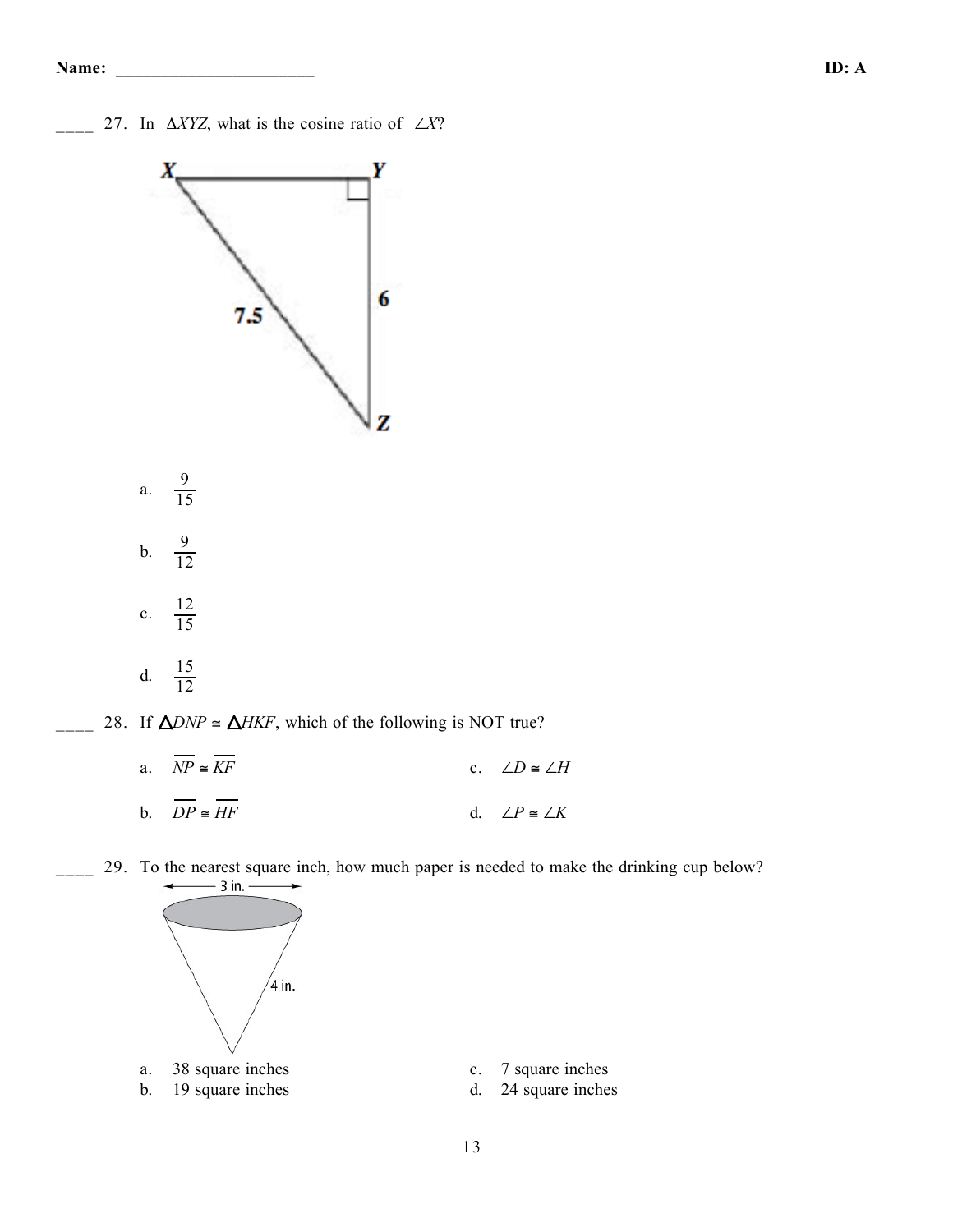\_\_\_\_ 27. In Δ*XYZ*, what is the cosine ratio of ∠*X*?



a.  $\overline{NP} \cong \overline{KF}$  c. ∠*D*  $\cong \angle H$ b.  $\overline{DP} \cong \overline{HF}$  d. ∠*P* ≅ ∠*K* 

29. To the nearest square inch, how much paper is needed to make the drinking cup below?  $\leftarrow$  $-3$  in.  $\leftarrow$ 



- 
- a. 38 square inches c. 7 square inches
- b. 19 square inches d. 24 square inches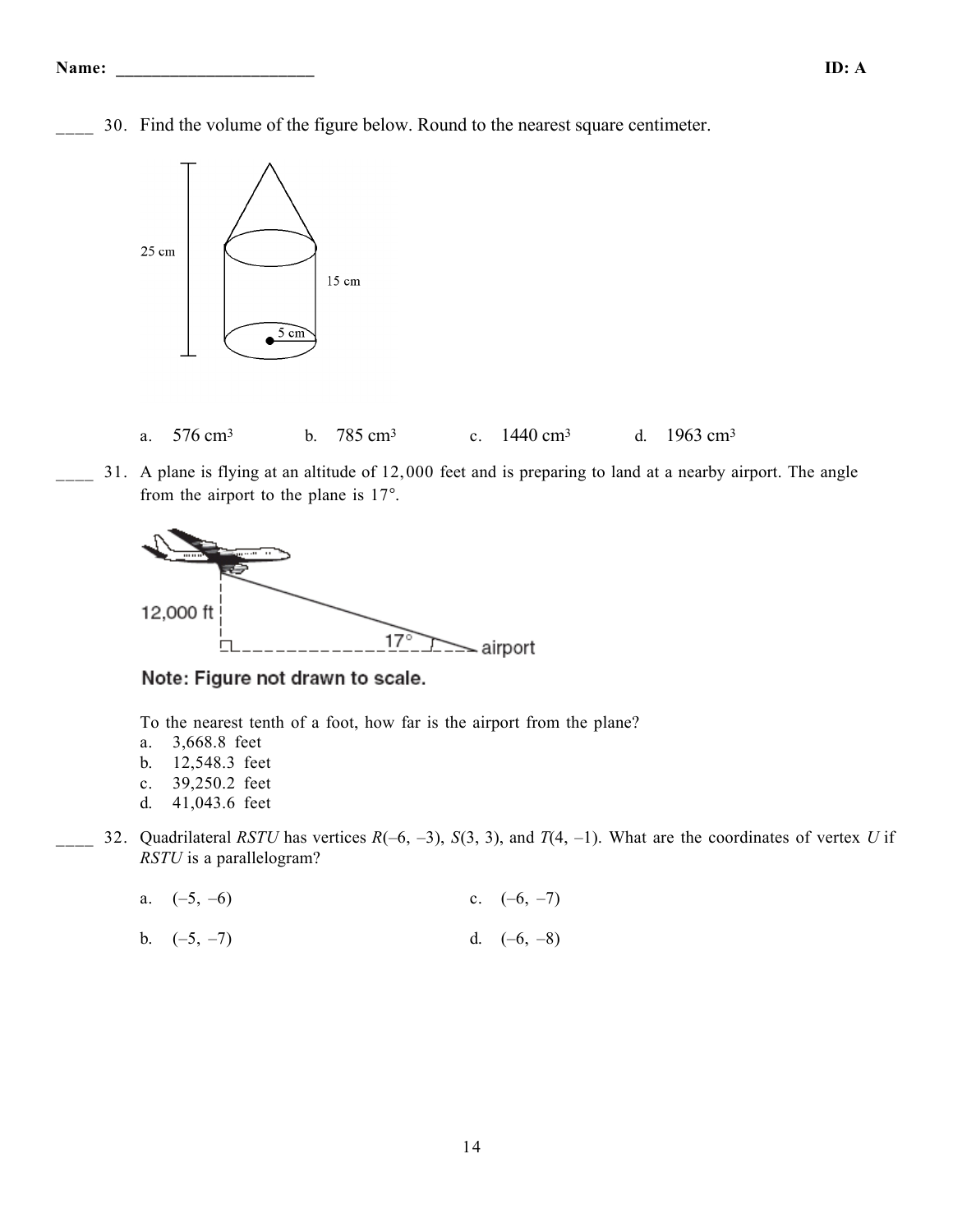\_\_\_\_ 30. Find the volume of the figure below. Round to the nearest square centimeter.



- a. 576 cm3 b. 785 cm3 c. 1440 cm3 d. 1963 cm3
- 31. A plane is flying at an altitude of 12,000 feet and is preparing to land at a nearby airport. The angle from the airport to the plane is 17°.



Note: Figure not drawn to scale.

To the nearest tenth of a foot, how far is the airport from the plane?

- a. 3,668.8 feet
- b. 12,548.3 feet
- c. 39,250.2 feet
- d. 41,043.6 feet
- \_\_\_\_ 32. Quadrilateral *RSTU* has vertices *R*(–6, –3), *S*(3, 3), and *T*(4, –1). What are the coordinates of vertex *U* if *RSTU* is a parallelogram?
	- a.  $(-5, -6)$  c.  $(-6, -7)$
	- b.  $(-5, -7)$  d.  $(-6, -8)$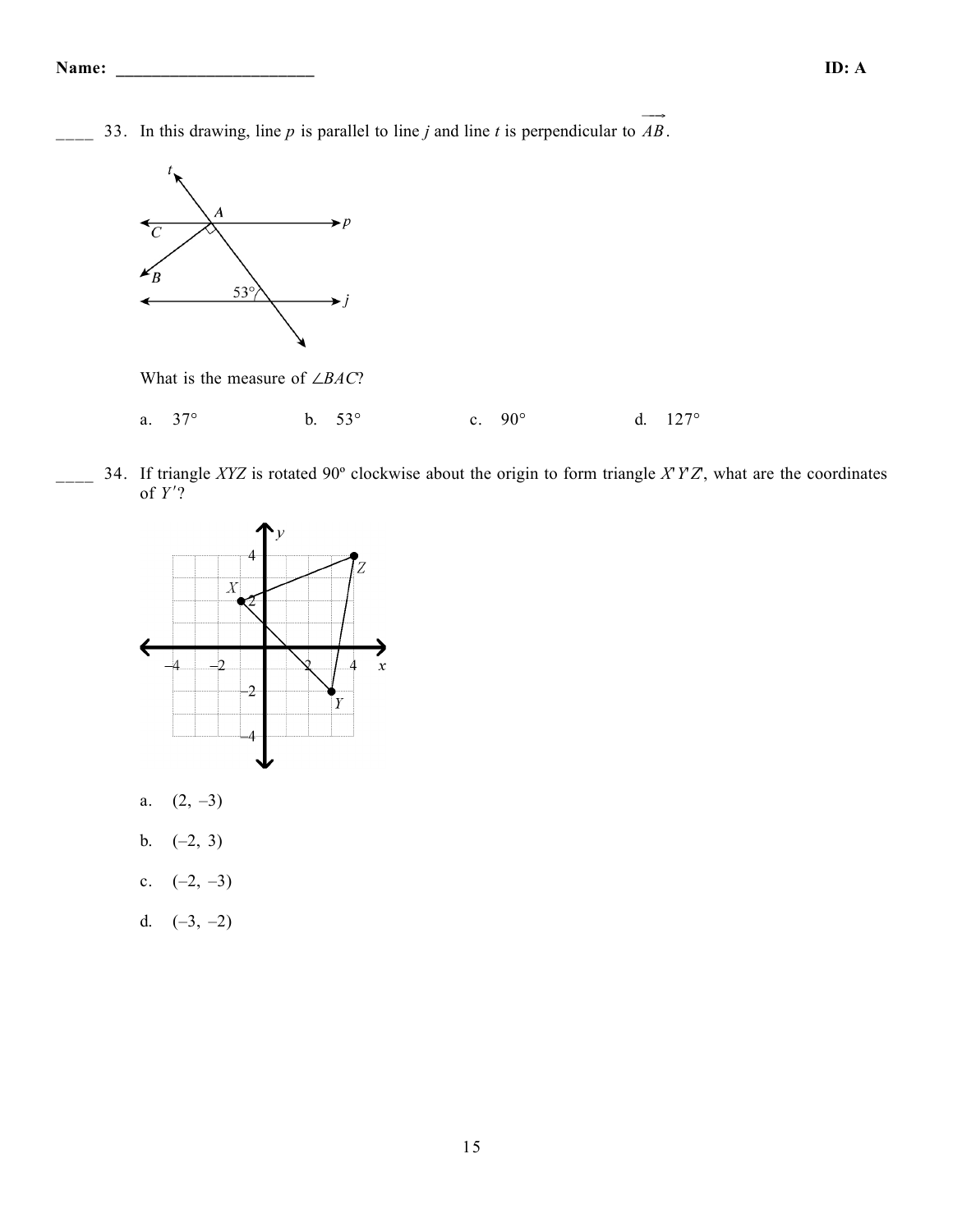33. In this drawing, line *p* is parallel to line *j* and line *t* is perpendicular to  $\overrightarrow{AB}$ .



What is the measure of ∠*BAC*?

- a. 37° b. 53° c. 90° d. 127°
- \_\_\_\_ 34. If triangle *XYZ* is rotated 90º clockwise about the origin to form triangle *X*'*Y*'*Z*', what are the coordinates of *Y* )?



- a.  $(2, -3)$
- b.  $(-2, 3)$
- c.  $(-2, -3)$
- d.  $(-3, -2)$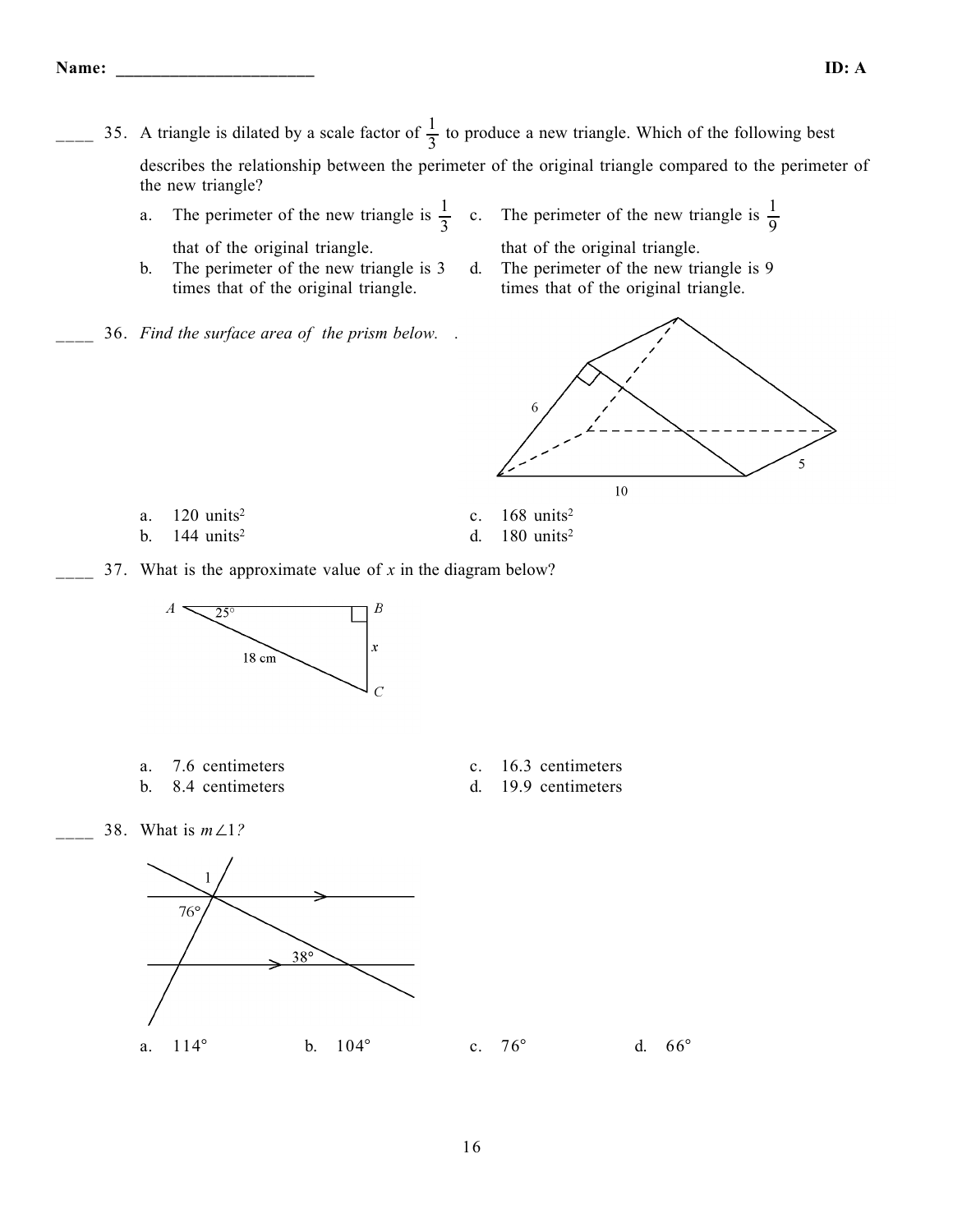- $\frac{1}{3}$  to produce a new triangle. Which of the following best describes the relationship between the perimeter of the original triangle compared to the perimeter of the new triangle?
	- a. The perimeter of the new triangle is  $\frac{1}{3}$  c. The perimeter of the new triangle is  $\frac{1}{9}$ that of the original triangle. that of the original triangle.
	- b. The perimeter of the new triangle is 3 times that of the original triangle.
	- \_\_\_\_ 36. *Find the surface area of the prism below. .*



d. The perimeter of the new triangle is 9

- -
- a.  $120 \text{ units}^2$  c.  $168 \text{ units}^2$
- b.  $144 \text{ units}^2$  d.  $180 \text{ units}^2$
- 37. What is the approximate value of *x* in the diagram below?



- 
- b. 8.4 centimeters d. 19.9 centimeters
- a. 7.6 centimeters c. 16.3 centimeters
	-

\_\_\_\_ 38. What is *m*∠1*?*

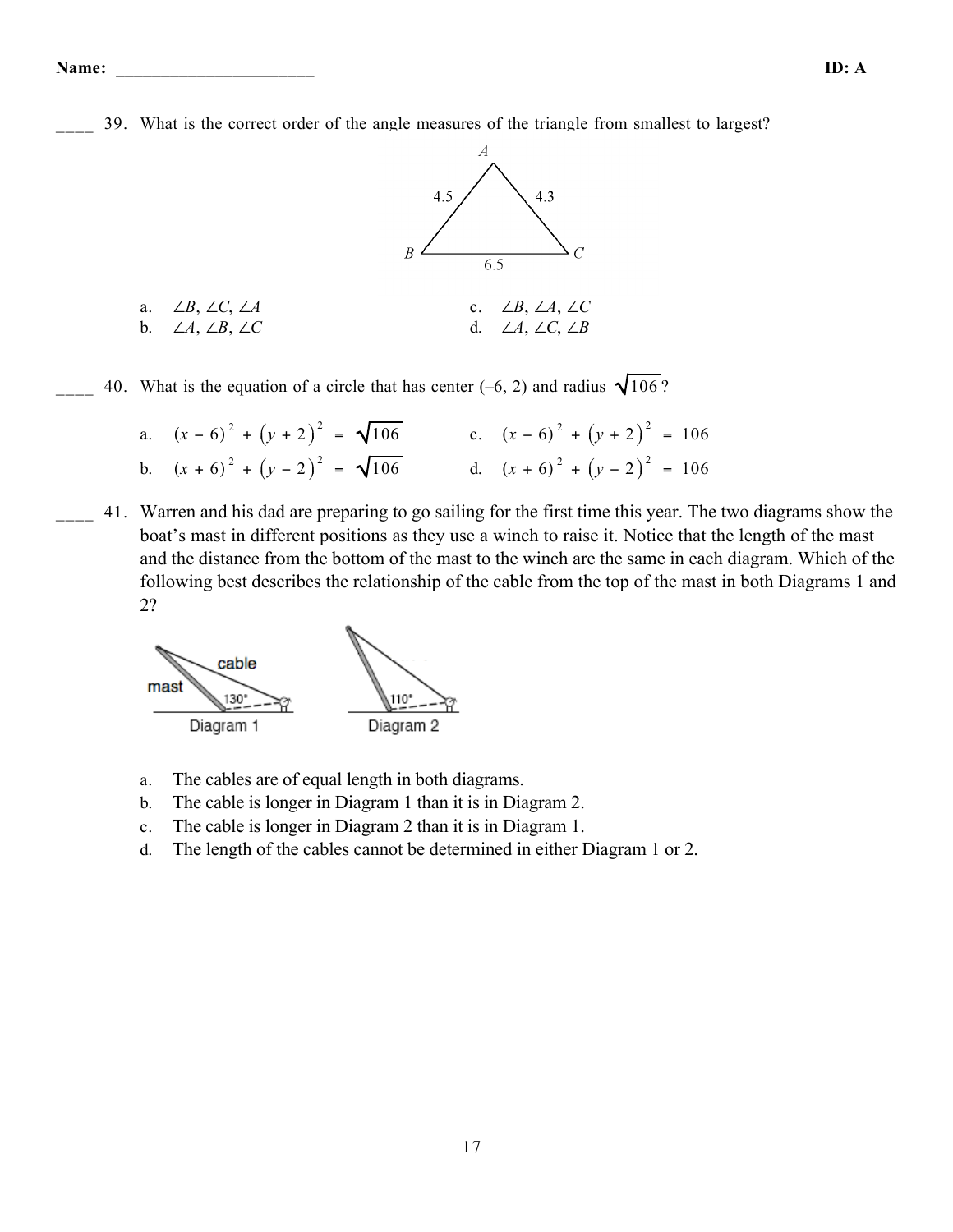39. What is the correct order of the angle measures of the triangle from smallest to largest?



40. What is the equation of a circle that has center (–6, 2) and radius  $\sqrt{106}$  ?

a. 
$$
(x-6)^2 + (y+2)^2 = \sqrt{106}
$$
  
\nb.  $(x+6)^2 + (y-2)^2 = \sqrt{106}$   
\nc.  $(x-6)^2 + (y+2)^2 = 106$   
\nd.  $(x+6)^2 + (y-2)^2 = 106$ 

\_\_\_\_ 41. Warren and his dad are preparing to go sailing for the first time this year. The two diagrams show the boat's mast in different positions as they use a winch to raise it. Notice that the length of the mast and the distance from the bottom of the mast to the winch are the same in each diagram. Which of the following best describes the relationship of the cable from the top of the mast in both Diagrams 1 and 2?



- a. The cables are of equal length in both diagrams.
- b. The cable is longer in Diagram 1 than it is in Diagram 2.
- c. The cable is longer in Diagram 2 than it is in Diagram 1.
- d. The length of the cables cannot be determined in either Diagram 1 or 2.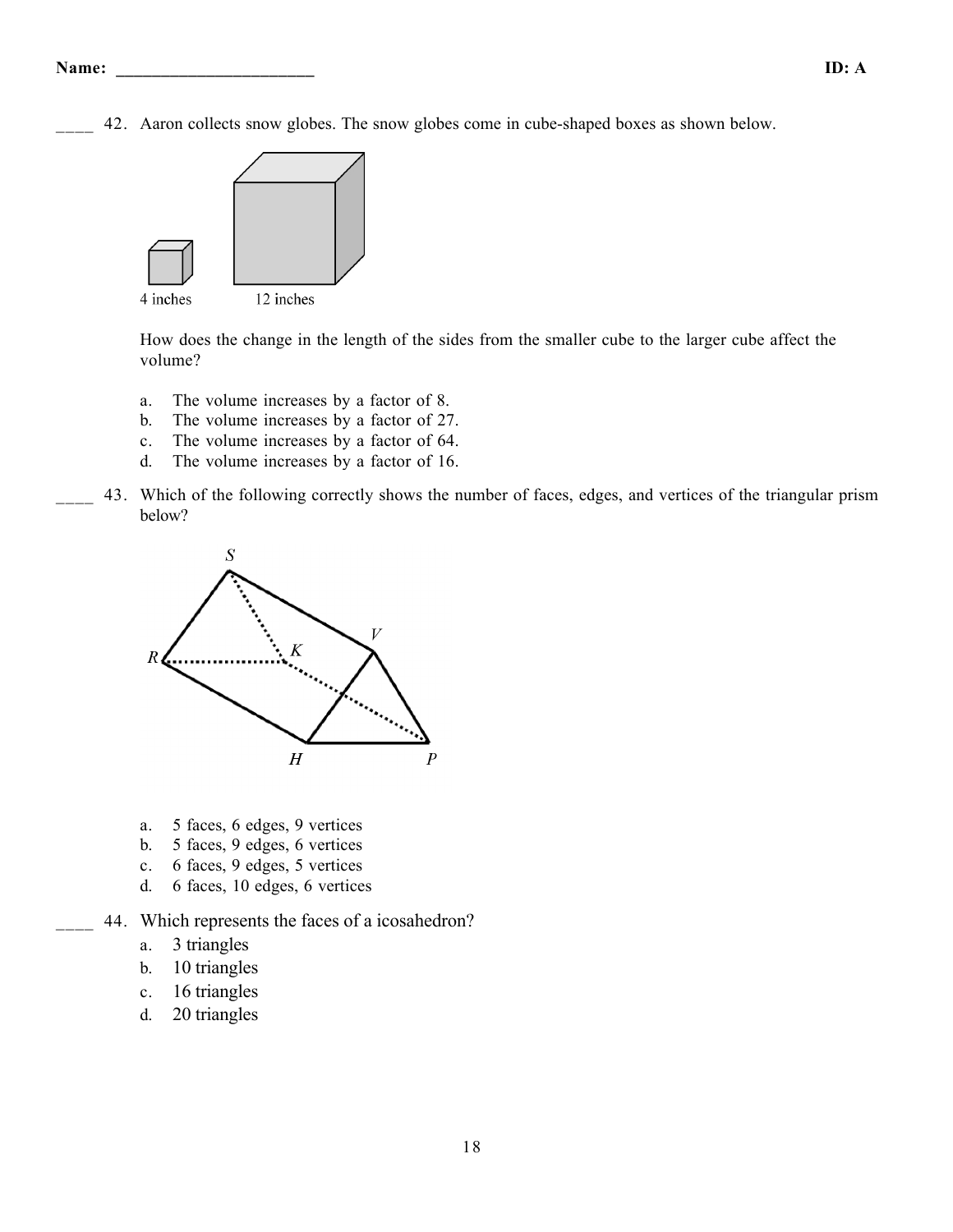42. Aaron collects snow globes. The snow globes come in cube-shaped boxes as shown below.



How does the change in the length of the sides from the smaller cube to the larger cube affect the volume?

- a. The volume increases by a factor of 8.
- b. The volume increases by a factor of 27.
- c. The volume increases by a factor of 64.
- d. The volume increases by a factor of 16.
- 43. Which of the following correctly shows the number of faces, edges, and vertices of the triangular prism below?



- a. 5 faces, 6 edges, 9 vertices
- b. 5 faces, 9 edges, 6 vertices
- c. 6 faces, 9 edges, 5 vertices
- d. 6 faces, 10 edges, 6 vertices
- 44. Which represents the faces of a icosahedron?
	- a. 3 triangles
	- b. 10 triangles
	- c. 16 triangles
	- d. 20 triangles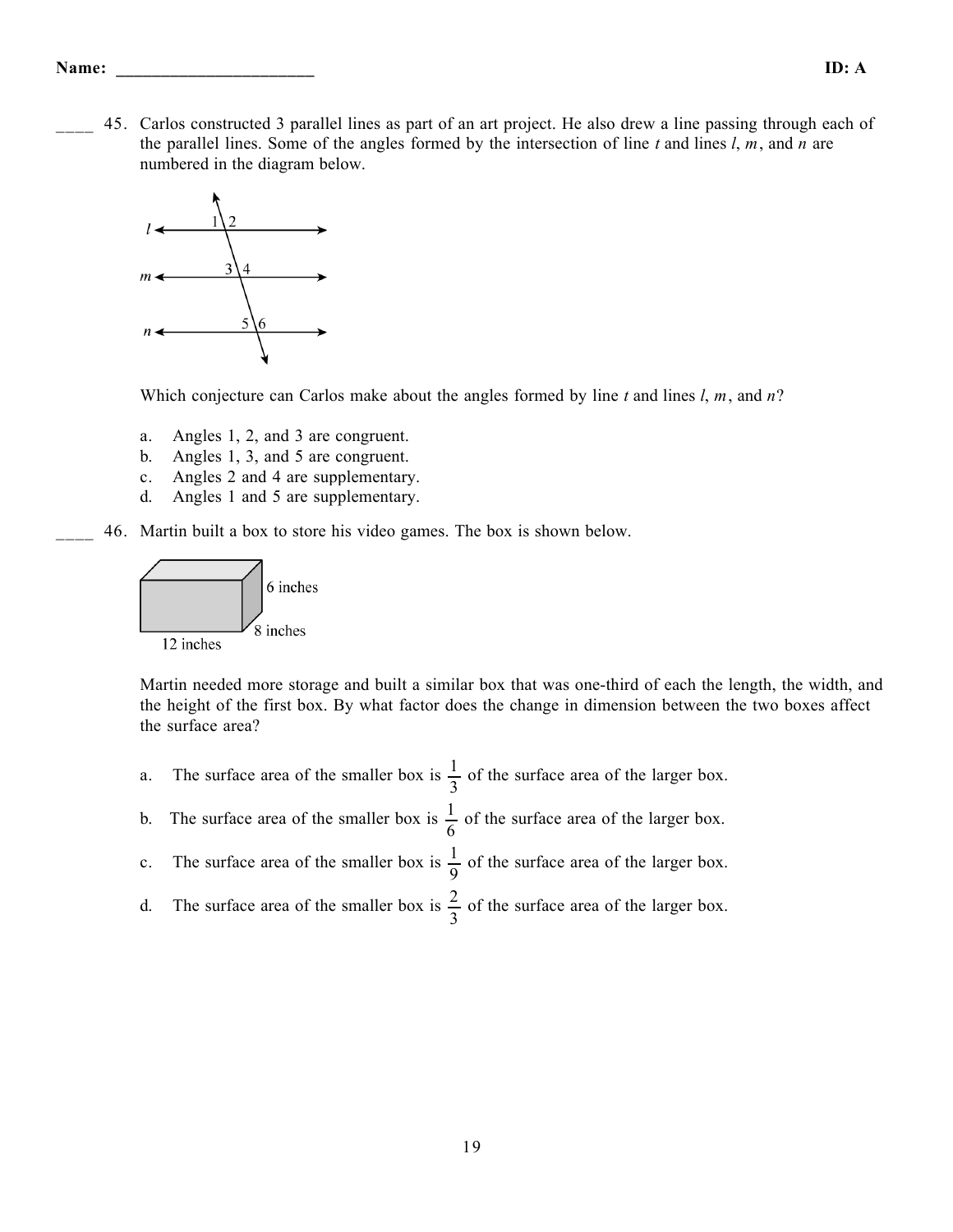\_\_\_\_ 45. Carlos constructed 3 parallel lines as part of an art project. He also drew a line passing through each of the parallel lines. Some of the angles formed by the intersection of line *t* and lines *l*, *m*, and *n* are numbered in the diagram below.



Which conjecture can Carlos make about the angles formed by line *t* and lines *l*, *m*, and *n*?

- a. Angles 1, 2, and 3 are congruent.
- b. Angles 1, 3, and 5 are congruent.
- c. Angles 2 and 4 are supplementary.
- d. Angles 1 and 5 are supplementary.
- \_\_\_\_ 46. Martin built a box to store his video games. The box is shown below.



Martin needed more storage and built a similar box that was one-third of each the length, the width, and the height of the first box. By what factor does the change in dimension between the two boxes affect the surface area?

- a. The surface area of the smaller box is  $\frac{1}{2}$ 3 of the surface area of the larger box.
- b. The surface area of the smaller box is  $\frac{1}{6}$ 6 of the surface area of the larger box.
- c. The surface area of the smaller box is  $\frac{1}{2}$ 9 of the surface area of the larger box.
- d. The surface area of the smaller box is  $\frac{2}{3}$ 3 of the surface area of the larger box.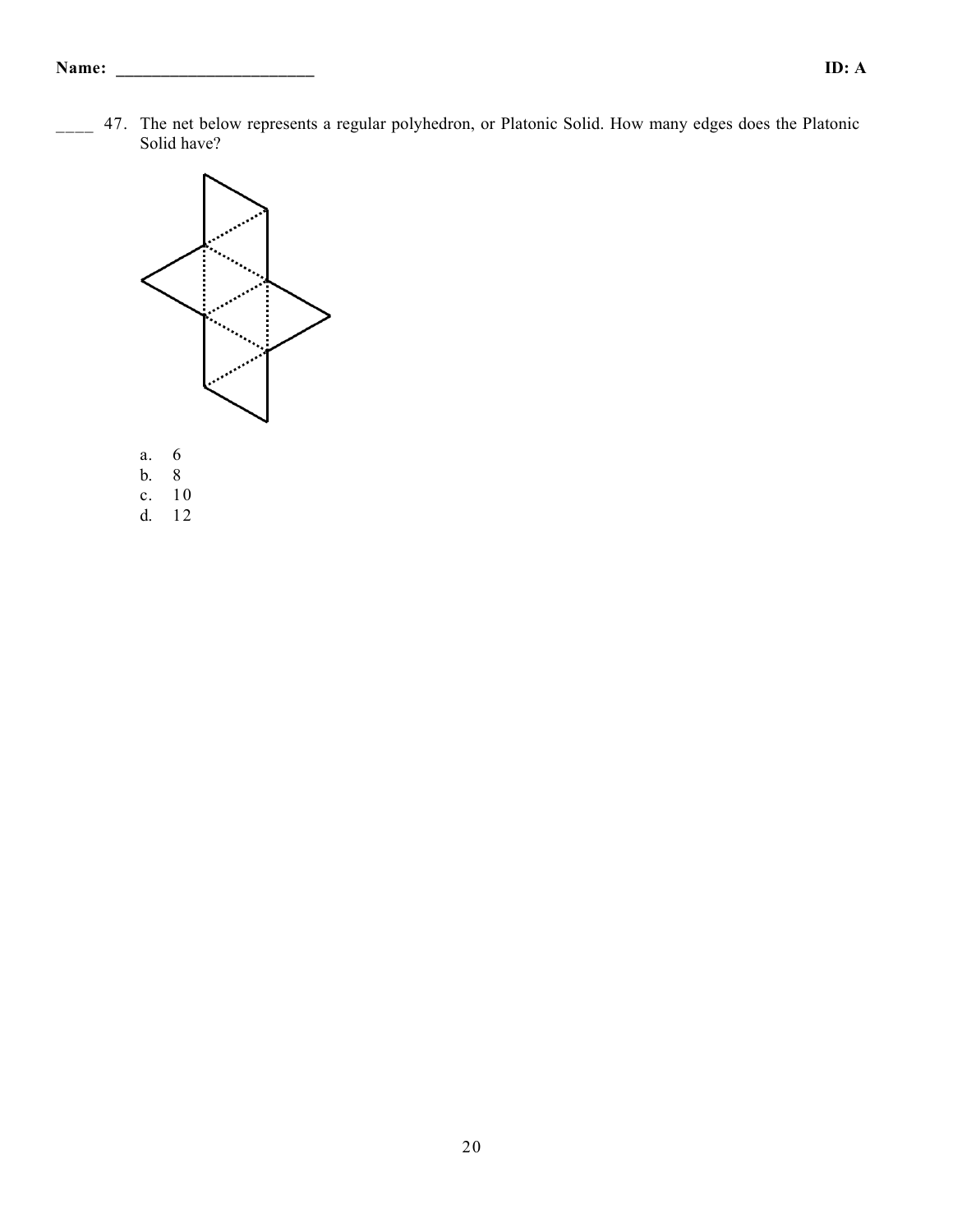47. The net below represents a regular polyhedron, or Platonic Solid. How many edges does the Platonic Solid have?



- b. 8
- 
- c.  $10$ <br>d.  $12$ d. 12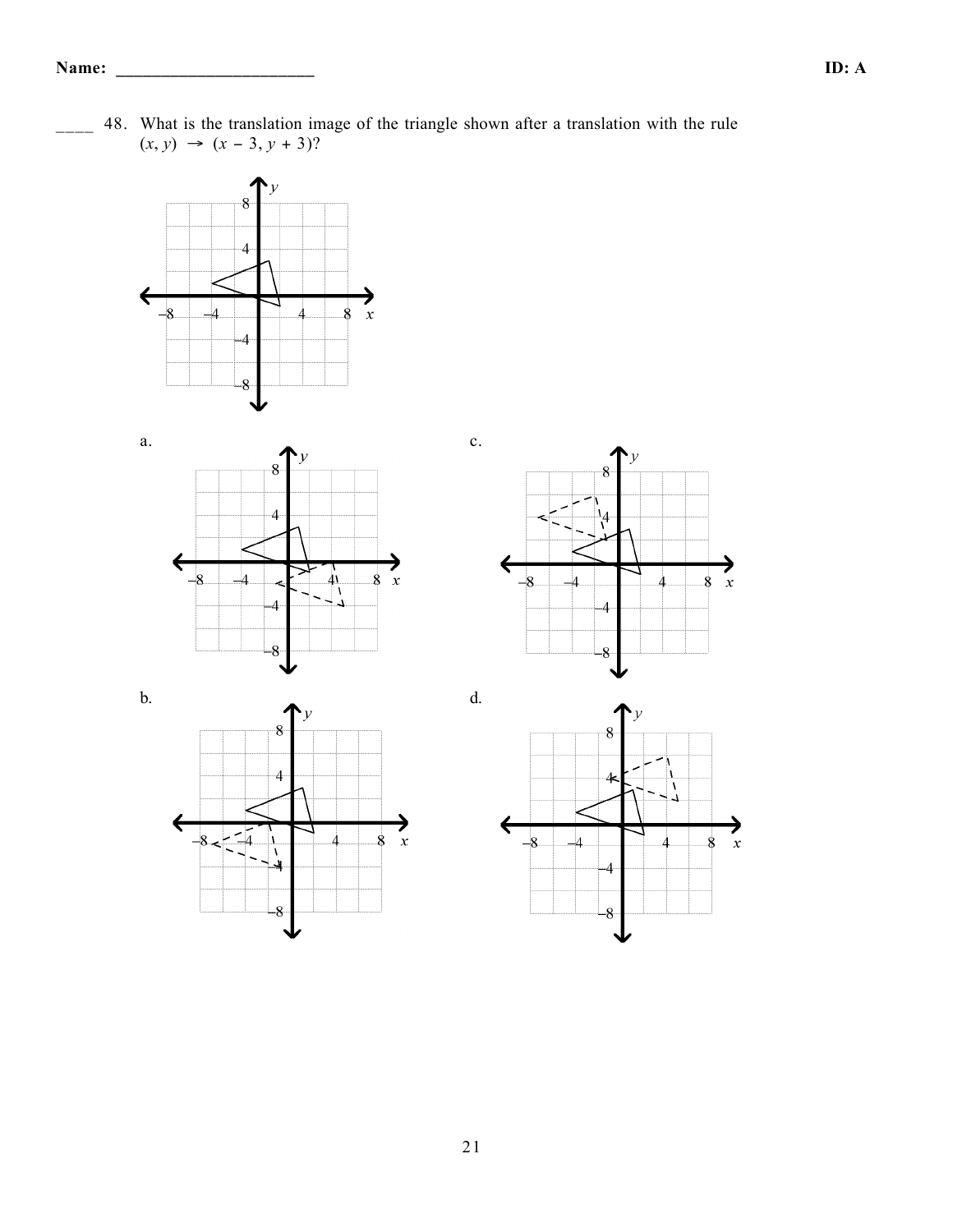













48. What is the translation image of the triangle shown after a translation with the rule  $(x, y)$  →  $(x − 3, y + 3)?$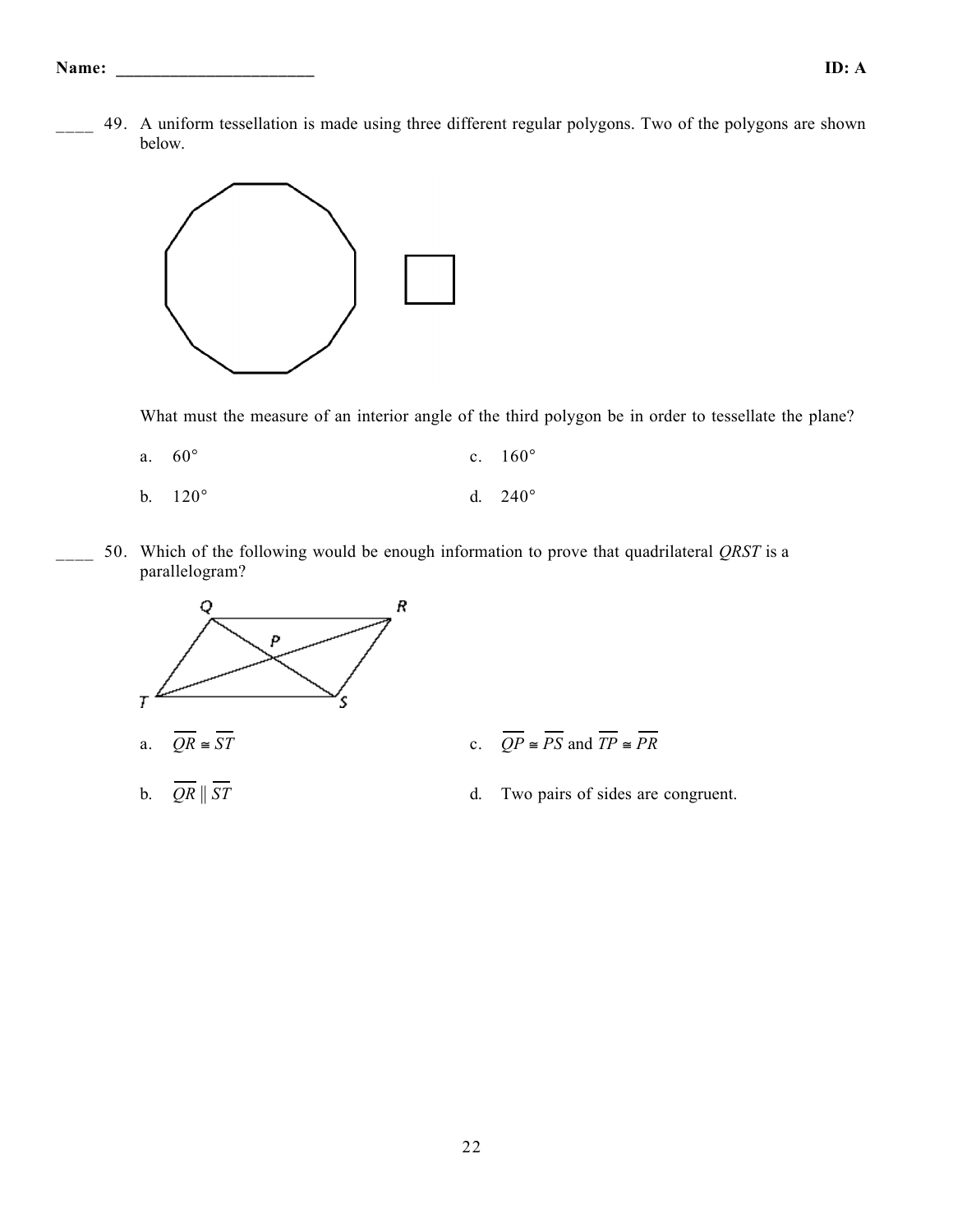49. A uniform tessellation is made using three different regular polygons. Two of the polygons are shown below.



What must the measure of an interior angle of the third polygon be in order to tessellate the plane?

- a. 60° c. 160°
- b.  $120^{\circ}$  d.  $240^{\circ}$
- 50. Which of the following would be enough information to prove that quadrilateral *QRST* is a parallelogram?



- 
-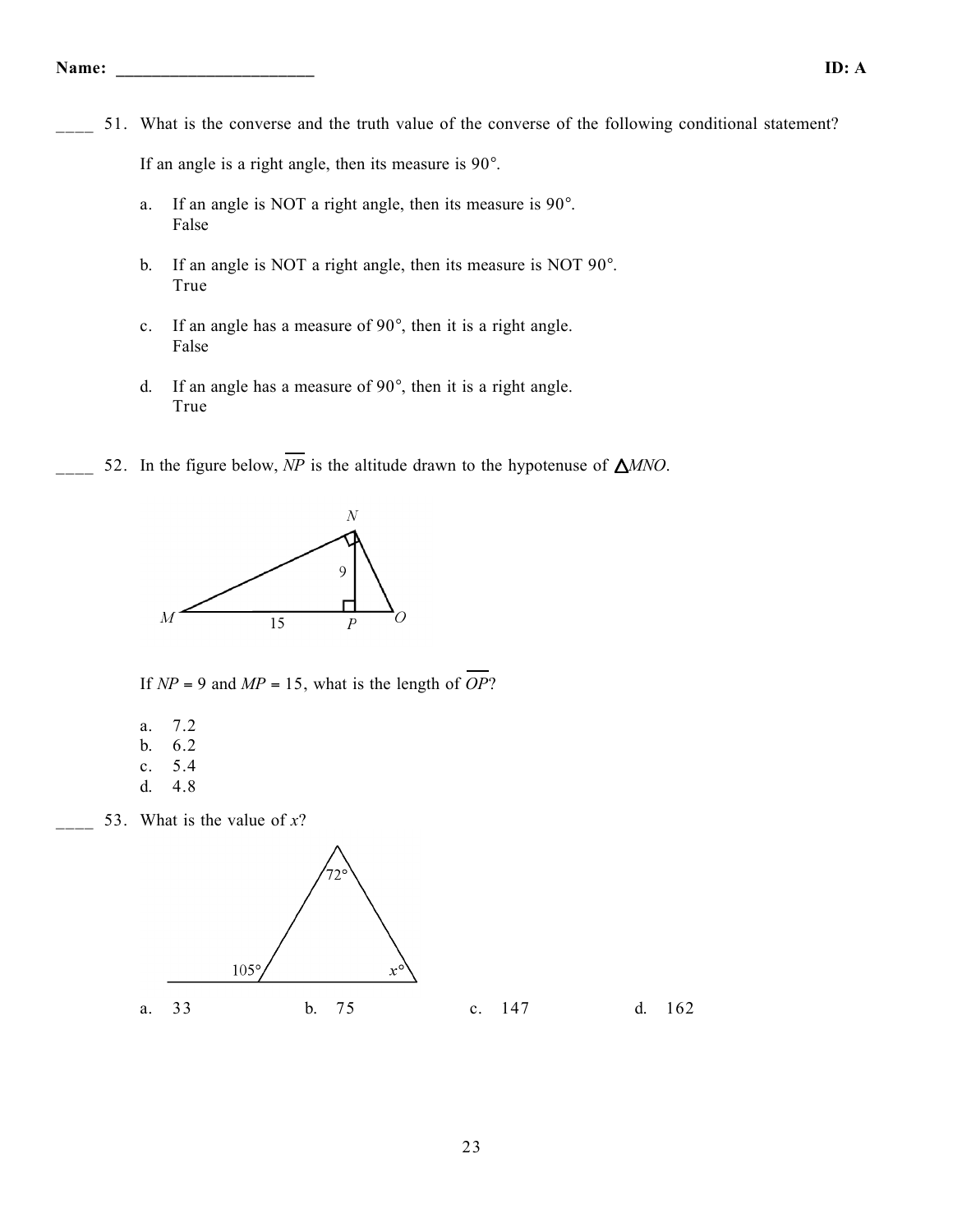51. What is the converse and the truth value of the converse of the following conditional statement?

If an angle is a right angle, then its measure is 90°.

- a. If an angle is NOT a right angle, then its measure is 90°. False
- b. If an angle is NOT a right angle, then its measure is NOT 90°. True
- c. If an angle has a measure of 90°, then it is a right angle. False
- d. If an angle has a measure of 90°, then it is a right angle. True
- 52. In the figure below,  $\overline{NP}$  is the altitude drawn to the hypotenuse of  $\triangle MNO$ .



If  $NP = 9$  and  $MP = 15$ , what is the length of *OP*?

- a. 7.2
- b. 6.2
- c. 5.4
- d. 4.8

53. What is the value of  $x$ ?

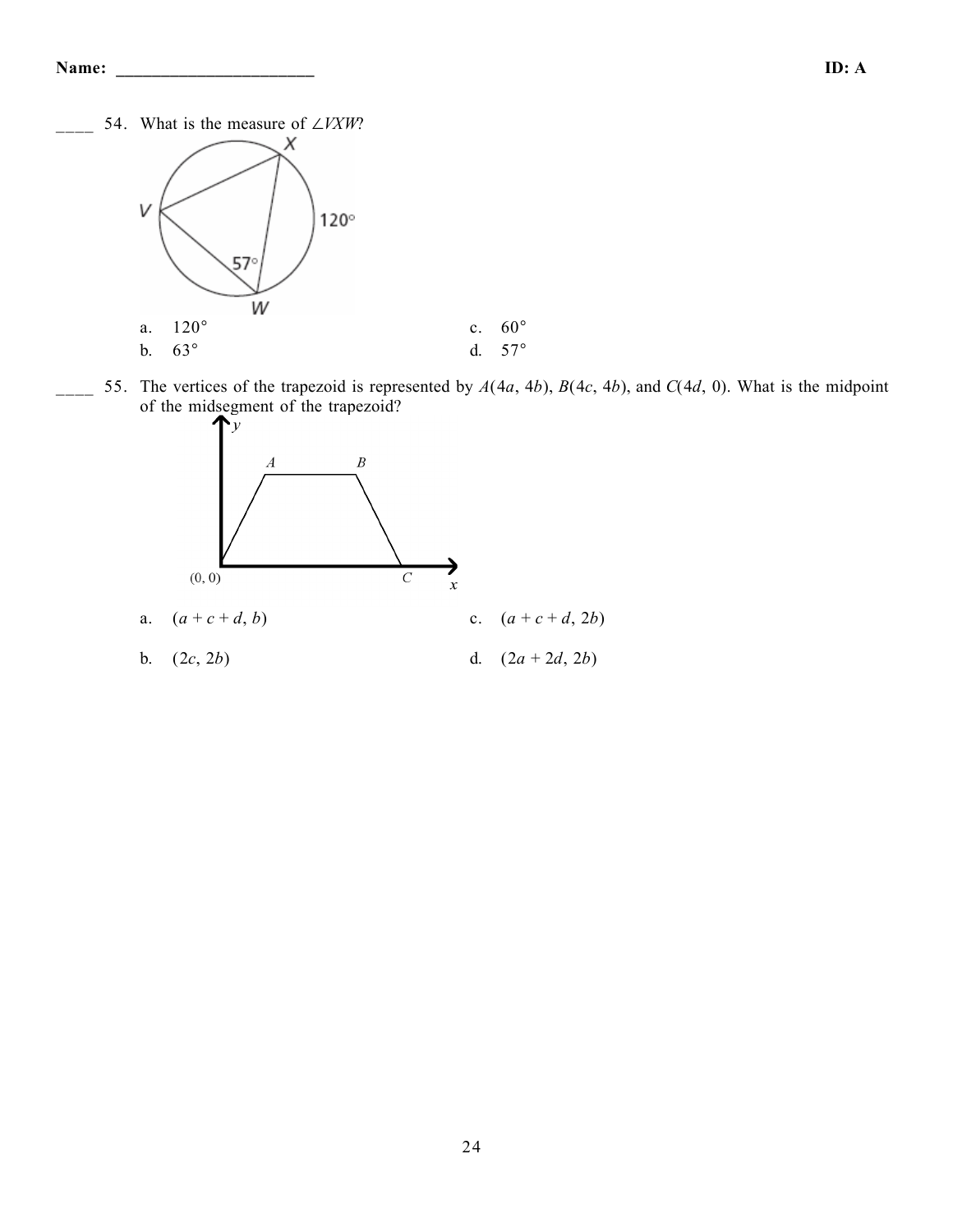\_\_\_\_ 54. What is the measure of ∠*VXW*?



55. The vertices of the trapezoid is represented by  $A(4a, 4b)$ ,  $B(4c, 4b)$ , and  $C(4d, 0)$ . What is the midpoint of the midsegment of the trapezoid?

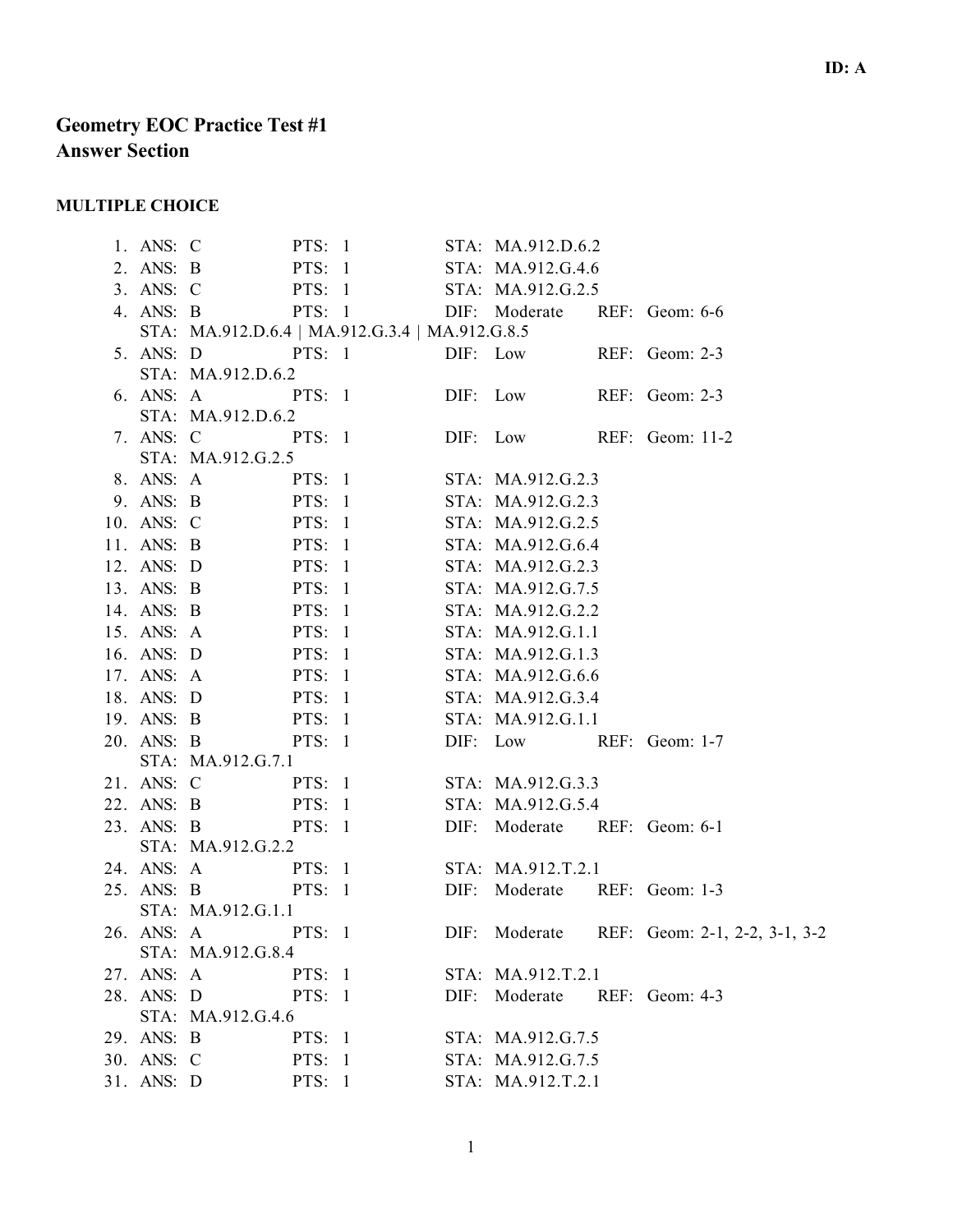# **Geometry EOC Practice Test #1 Answer Section**

### **MULTIPLE CHOICE**

| 1. ANS: C  | PTS: 1 STA: MA.912.D.6.2                        |  |                              |  |                                                               |
|------------|-------------------------------------------------|--|------------------------------|--|---------------------------------------------------------------|
|            | 2. ANS: B PTS: 1 STA: MA.912.G.4.6              |  |                              |  |                                                               |
|            | 3. ANS: C PTS: 1 STA: MA.912.G.2.5              |  |                              |  |                                                               |
|            | 4. ANS: B PTS: 1 DIF: Moderate REF: Geom: 6-6   |  |                              |  |                                                               |
|            | STA: MA.912.D.6.4   MA.912.G.3.4   MA.912.G.8.5 |  |                              |  |                                                               |
|            | 5. ANS: D PTS: 1 DIF: Low REF: Geom: 2-3        |  |                              |  |                                                               |
|            | STA: MA.912.D.6.2                               |  |                              |  |                                                               |
|            | 6. ANS: A PTS: 1 DIF: Low REF: Geom: 2-3        |  |                              |  |                                                               |
|            | STA: MA.912.D.6.2                               |  |                              |  |                                                               |
|            | 7. ANS: C PTS: 1 DIF: Low REF: Geom: 11-2       |  |                              |  |                                                               |
|            | STA: MA.912.G.2.5                               |  |                              |  |                                                               |
|            | 8. ANS: A PTS: 1 STA: MA.912.G.2.3              |  |                              |  |                                                               |
|            | 9. ANS: B PTS: 1 STA: MA.912.G.2.3              |  |                              |  |                                                               |
|            | 10. ANS: C PTS: 1 STA: MA.912.G.2.5             |  |                              |  |                                                               |
|            | 11. ANS: B PTS: 1 STA: MA.912.G.6.4             |  |                              |  |                                                               |
|            | 12. ANS: D PTS: 1 STA: MA.912.G.2.3             |  |                              |  |                                                               |
|            | 13. ANS: B PTS: 1 STA: MA.912.G.7.5             |  |                              |  |                                                               |
|            | 14. ANS: B PTS: 1 STA: MA.912.G.2.2             |  |                              |  |                                                               |
|            | 15. ANS: A PTS: 1 STA: MA.912.G.1.1             |  |                              |  |                                                               |
|            | 16. ANS: D PTS: 1 STA: MA.912.G.1.3             |  |                              |  |                                                               |
|            | 17. ANS: A PTS: 1 STA: MA.912.G.6.6             |  |                              |  |                                                               |
|            | 18. ANS: D PTS: 1 STA: MA.912.G.3.4             |  |                              |  |                                                               |
|            | 19. ANS: B PTS: 1 STA: MA.912.G.1.1             |  |                              |  |                                                               |
|            | 20. ANS: B PTS: 1 DIF: Low REF: Geom: 1-7       |  |                              |  |                                                               |
|            | STA: MA.912.G.7.1                               |  |                              |  |                                                               |
|            | 21. ANS: C PTS: 1 STA: MA.912.G.3.3             |  |                              |  |                                                               |
|            | 22. ANS: B PTS: 1 STA: MA.912.G.5.4             |  |                              |  |                                                               |
|            | 23. ANS: B PTS: 1 DIF: Moderate REF: Geom: 6-1  |  |                              |  |                                                               |
|            | STA: MA.912.G.2.2                               |  |                              |  |                                                               |
|            | 24. ANS: A PTS: 1 STA: MA.912.T.2.1             |  |                              |  |                                                               |
|            | 25. ANS: B PTS: 1 DIF: Moderate REF: Geom: 1-3  |  |                              |  |                                                               |
|            | STA: MA.912.G.1.1                               |  |                              |  |                                                               |
|            |                                                 |  |                              |  | 26. ANS: A PTS: 1 DIF: Moderate REF: Geom: 2-1, 2-2, 3-1, 3-2 |
|            | STA: MA.912.G.8.4                               |  |                              |  |                                                               |
|            | 27. ANS: A<br>PTS: 1                            |  | STA: MA.912.T.2.1            |  |                                                               |
|            | 28. ANS: D PTS: 1                               |  | DIF: Moderate REF: Geom: 4-3 |  |                                                               |
|            | STA: MA.912.G.4.6                               |  |                              |  |                                                               |
| 29. ANS: B | PTS: 1                                          |  | STA: MA.912.G.7.5            |  |                                                               |
| 30. ANS: C | <b>PTS: 1</b>                                   |  | STA: MA.912.G.7.5            |  |                                                               |
| 31. ANS: D | <b>PTS:</b> 1                                   |  | STA: MA.912.T.2.1            |  |                                                               |